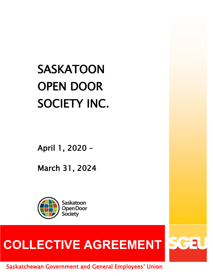# **SASKATOON** OPEN DOOR SOCIETY INC.

April 1, 2020 –

March 31, 2024



# COLLECTIVE AGREEMENT SCH

Saskatchewan Government and General Employees' Union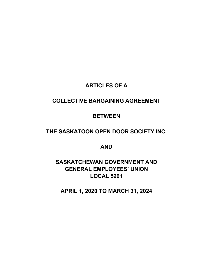# **ARTICLES OF A**

# **COLLECTIVE BARGAINING AGREEMENT**

# **BETWEEN**

# **THE SASKATOON OPEN DOOR SOCIETY INC.**

# **AND**

# **SASKATCHEWAN GOVERNMENT AND GENERAL EMPLOYEES' UNION LOCAL 5291**

**APRIL 1, 2020 TO MARCH 31, 2024**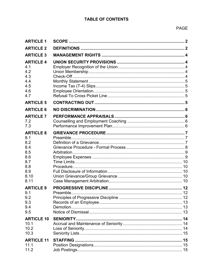| <b>ARTICLE 1</b>                                                         |  |
|--------------------------------------------------------------------------|--|
| <b>ARTICLE 2</b>                                                         |  |
| <b>ARTICLE 3</b>                                                         |  |
| <b>ARTICLE 4</b><br>4.1<br>4.2<br>4.3<br>4.4<br>4.5<br>4.6<br>4.7        |  |
| <b>ARTICLE 5</b>                                                         |  |
| <b>ARTICLE 6</b>                                                         |  |
| <b>ARTICLE 7</b><br>7.2<br>7.3                                           |  |
| <b>ARTICLE 8</b><br>8.1<br>8.2<br>8.4<br>8.5<br>8.6<br>8.7<br>8.8<br>8.9 |  |
| 8.10<br>8.11                                                             |  |
| <b>ARTICLE 9</b><br>9.1<br>9.2<br>9.3<br>9.4<br>9.5                      |  |
| <b>ARTICLE 10</b><br>10.1<br>10.2<br>10.3                                |  |
| <b>ARTICLE 11</b><br>11.1<br>11.2                                        |  |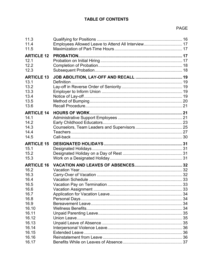| 11.3<br>11.4                                      | Employees Allowed Leave to Attend All Interview 17 |  |
|---------------------------------------------------|----------------------------------------------------|--|
| 11.5<br><b>ARTICLE 12</b><br>12.1<br>12.2<br>12.3 |                                                    |  |
| <b>ARTICLE 13</b>                                 |                                                    |  |
| 13.1                                              |                                                    |  |
| 13.2                                              |                                                    |  |
| 13.3                                              |                                                    |  |
| 13.4                                              |                                                    |  |
| 13.5                                              |                                                    |  |
| 13.6                                              |                                                    |  |
| <b>ARTICLE 14</b>                                 | <b>HOURS OF WORK.</b>                              |  |
| 14.1                                              |                                                    |  |
| 14.2                                              |                                                    |  |
| 14.3                                              |                                                    |  |
| 14.4                                              |                                                    |  |
| 14.5                                              |                                                    |  |
|                                                   |                                                    |  |
| <b>ARTICLE 15</b>                                 |                                                    |  |
| 15.1                                              |                                                    |  |
| 15.2                                              |                                                    |  |
| 15.3                                              |                                                    |  |
| <b>ARTICLE 16</b>                                 |                                                    |  |
| 16.2                                              |                                                    |  |
| 16.3                                              |                                                    |  |
| 16.4                                              |                                                    |  |
| 16.5                                              |                                                    |  |
| 16.6                                              |                                                    |  |
| 16.7                                              |                                                    |  |
| 16.8                                              |                                                    |  |
| 16.9                                              |                                                    |  |
| 16.10                                             |                                                    |  |
| 16.11                                             |                                                    |  |
| 16.12                                             |                                                    |  |
| 16.13                                             |                                                    |  |
| 16.14                                             |                                                    |  |
| 16.15                                             |                                                    |  |
| 16.16<br>16.17                                    |                                                    |  |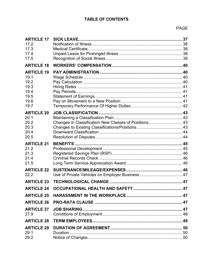| <b>ARTICLE 17</b><br>17.2<br>17.3<br>17.4<br>17.5                         | <b>SICK LEAVE.</b>                                    |  |
|---------------------------------------------------------------------------|-------------------------------------------------------|--|
| <b>ARTICLE 18</b>                                                         |                                                       |  |
| <b>ARTICLE 19</b><br>19.1<br>19.2<br>19.3<br>19.4<br>19.5<br>19.6<br>19.7 |                                                       |  |
| <b>ARTICLE 20</b><br>20.1<br>20.2<br>20.3<br>20.4<br>20.5                 | Changes in Classification New Classes of Positions 43 |  |
| <b>ARTICLE 21</b><br>21.2<br>21.3<br>21.4<br>21.5                         |                                                       |  |
| <b>ARTICLE 22</b><br>22.2                                                 |                                                       |  |
| <b>ARTICLE 23</b>                                                         |                                                       |  |
| <b>ARTICLE 24</b>                                                         |                                                       |  |
| <b>ARTICLE 25</b>                                                         |                                                       |  |
| <b>ARTICLE 26</b>                                                         |                                                       |  |
| <b>ARTICLE 27</b><br>27.9                                                 |                                                       |  |
| <b>ARTICLE 28</b>                                                         |                                                       |  |
| <b>ARTICLE 29</b><br>29.1<br>29.2                                         |                                                       |  |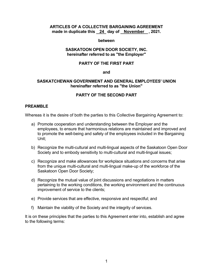#### **ARTICLES OF A COLLECTIVE BARGAINING AGREEMENT made in duplicate this 24 day of November , 2021.**

#### **between**

#### **SASKATOON OPEN DOOR SOCIETY, INC. hereinafter referred to as "the Employer"**

#### **PARTY OF THE FIRST PART**

**and**

#### **SASKATCHEWAN GOVERNMENT AND GENERAL EMPLOYEES' UNION hereinafter referred to as "the Union"**

# **PARTY OF THE SECOND PART**

#### **PREAMBLE**

Whereas it is the desire of both the parties to this Collective Bargaining Agreement to:

- a) Promote cooperation and understanding between the Employer and the employees, to ensure that harmonious relations are maintained and improved and to promote the well-being and safety of the employees included in the Bargaining Unit;
- b) Recognize the multi-cultural and multi-lingual aspects of the Saskatoon Open Door Society and to embody sensitivity to multi-cultural and multi-lingual issues;
- c) Recognize and make allowances for workplace situations and concerns that arise from the unique multi-cultural and multi-lingual make-up of the workforce of the Saskatoon Open Door Society;
- d) Recognize the mutual value of joint discussions and negotiations in matters pertaining to the working conditions, the working environment and the continuous improvement of service to the clients;
- e) Provide services that are effective, responsive and respectful; and
- f) Maintain the viability of the Society and the integrity of services.

It is on these principles that the parties to this Agreement enter into, establish and agree to the following terms: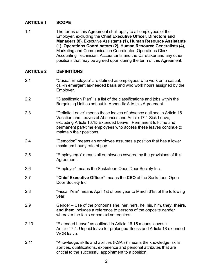# <span id="page-7-0"></span>**ARTICLE 1 SCOPE**

1.1 The terms of this Agreement shall apply to all employees of the Employer, excluding the **Chief Executive Officer**, **Directors and Managers (8),** Executive Assistant**s (1), Human Resource Assistants (1), Operations Coordinators (2), Human Resource Generalists (4)**, Marketing and Communication Coordinator, Operations Clerk, Accounting Technician, Accountants and the Caretaker and any other positions that may be agreed upon during the term of this Agreement.

# <span id="page-7-1"></span>**ARTICLE 2 DEFINITIONS**

- 2.1 "Casual Employee" are defined as employees who work on a casual, call-in emergent as-needed basis and who work hours assigned by the Employer.
- 2.2 "Classification Plan" is a list of the classifications and jobs within the Bargaining Unit as set out in Appendix A to this Agreement.
- 2.3 "Definite Leave" means those leaves of absence outlined in Article 16 Vacation and Leaves of Absences and Article 17.1 Sick Leave, excluding Article 16.1**5** Extended Leave. Permanent full-time and permanent part-time employees who access these leaves continue to maintain their positions.
- 2.4 "Demotion" means an employee assumes a position that has a lower maximum hourly rate of pay.
- 2.5 "Employee(s)" means all employees covered by the provisions of this Agreement.
- 2.6 "Employer" means the Saskatoon Open Door Society Inc.
- 2.7 **"Chief Executive Officer"** means the **CEO** of the Saskatoon Open Door Society Inc.
- 2.8 "Fiscal Year" means April 1st of one year to March 31st of the following year.
- 2.9 Gender Use of the pronouns she, her, hers, he, his**,** him, **they, theirs, and them** includes a reference to persons of the opposite gender wherever the facts or context so requires.
- 2.10 "Extended Leave" as outlined in Article 16.1**5** means leaves in Article 17.4. Unpaid leave for prolonged illness and Article 18 extended WCB leave.
- 2.11 "Knowledge, skills and abilities (KSA's)" means the knowledge, skills, abilities, qualifications, experience and personal attributes that are critical to the successful appointment to a position.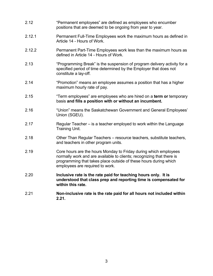- 2.12 "Permanent employees" are defined as employees who encumber positions that are deemed to be ongoing from year to year.
- 2.12.1 Permanent Full-Time Employees work the maximum hours as defined in Article 14 - Hours of Work.
- 2.12.2 Permanent Part-Time Employees work less than the maximum hours as defined in Article 14 - Hours of Work.
- 2.13 "Programming Break" is the suspension of program delivery activity for a specified period of time determined by the Employer that does not constitute a lay-off.
- 2.14 "Promotion" means an employee assumes a position that has a higher maximum hourly rate of pay.
- 2.15 "Term employees" are employees who are hired on a **term or** temporary basis **and fills a position with or without an incumbent.**
- 2.16 "Union" means the Saskatchewan Government and General Employees' Union (SGEU).
- 2.17 Regular Teacher is a teacher employed to work within the Language Training Unit.
- 2.18 Other Than Regular Teachers resource teachers, substitute teachers, and teachers in other program units.
- 2.19 Core hours are the hours Monday to Friday during which employees normally work and are available to clients; recognizing that there is programming that takes place outside of these hours during which employees are required to work.
- 2.20 **Inclusive rate is the rate paid for teaching hours only. It is understood that class prep and reporting time is compensated for within this rate.**
- 2.21 **Non-inclusive rate is the rate paid for all hours not included within 2.21.**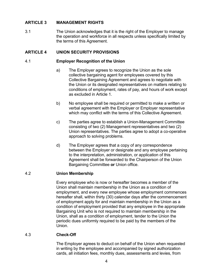# <span id="page-9-0"></span>**ARTICLE 3 MANAGEMENT RIGHTS**

3.1 The Union acknowledges that it is the right of the Employer to manage the operation and workforce in all respects unless specifically limited by the terms of this Agreement.

#### <span id="page-9-1"></span>**ARTICLE 4 UNION SECURITY PROVISIONS**

#### <span id="page-9-2"></span>4.1 **Employer Recognition of the Union**

- a) The Employer agrees to recognize the Union as the sole collective bargaining agent for employees covered by this Collective Bargaining Agreement and agrees to negotiate with the Union or its designated representatives on matters relating to conditions of employment, rates of pay, and hours of work except as excluded in Article 1.
- b) No employee shall be required or permitted to make a written or verbal agreement with the Employer or Employer representative which may conflict with the terms of this Collective Agreement.
- c) The parties agree to establish a Union-Management Committee consisting of two (2) Management representatives and two (2) Union representatives. The parties agree to adopt a co-operative approach to solving problems.
- d) The Employer agrees that a copy of any correspondence between the Employer or designate and any employee pertaining to the interpretation, administration, or application of this Agreement shall be forwarded to the Chairperson of the Union Bargaining Committee **or** Union office.

#### <span id="page-9-3"></span>4.2 **Union Membership**

Every employee who is now or hereafter becomes a member of the Union shall maintain membership in the Union as a condition of employment, and every new employee whose employment commences hereafter shall, within thirty (30) calendar days after the commencement of employment apply for and maintain membership in the Union as a condition of employment provided that any employee in the appropriate Bargaining Unit who is not required to maintain membership in the Union, shall as a condition of employment, tender to the Union the periodic dues uniformly required to be paid by the members of the Union.

#### <span id="page-9-4"></span>4.3 **Check-Off**

The Employer agrees to deduct on behalf of the Union when requested in writing by the employee and accompanied by signed authorization cards, all initiation fees, monthly dues, assessments and levies, from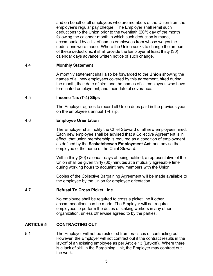and on behalf of all employees who are members of the Union from the employee's regular pay cheque. The Employer shall remit such deductions to the Union prior to the twentieth  $(20<sup>th</sup>)$  day of the month following the calendar month in which such deduction is made, accompanied by a list of names employees from whose wages the deductions were made. Where the Union seeks to change the amount of these deductions, it shall provide the Employer at least thirty (30) calendar days advance written notice of such change.

#### <span id="page-10-0"></span>4.4 **Monthly Statement**

A monthly statement shall also be forwarded to the **Union** showing the names of all new employees covered by this agreement, hired during the month, their date of hire, and the names of all employees who have terminated employment, and their date of severance.

#### <span id="page-10-1"></span>4.5 **Income Tax (T-4) Slips**

The Employer agrees to record all Union dues paid in the previous year on the employee's annual T-4 slip.

#### <span id="page-10-2"></span>4.6 **Employee Orientation**

The Employer shall notify the Chief Steward of all new employees hired. Each new employee shall be advised that a Collective Agreement is in effect, that union membership is required as a condition of employment as defined by the **Saskatchewan Employment Act**, and advise the employee of the name of the Chief Steward.

Within thirty (30) calendar days of being notified, a representative of the Union shall be given thirty (30) minutes at a mutually agreeable time during working hours to acquaint new members with the Union.

Copies of the Collective Bargaining Agreement will be made available to the employee by the Union for employee orientation.

#### <span id="page-10-3"></span>4.7 **Refusal To Cross Picket Line**

No employee shall be required to cross a picket line if other accommodations can be made. The Employer will not require employees to perform the duties of striking workers in any other organization, unless otherwise agreed to by the parties.

#### <span id="page-10-4"></span>**ARTICLE 5 CONTRACTING OUT**

5.1 The Employer will not be restricted from practices of contracting out. However, the Employer will not contract out if the contract results in the lay-off of an existing employee as per Article 13 (Lay-off). Where there is a lack of skill in the Bargaining Unit, the Employer may contract out the work.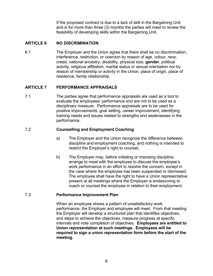If the proposed contract is due to a lack of skill in the Bargaining Unit and is for more than three (3) months the parties will meet to review the feasibility of developing skills within the Bargaining Unit.

# <span id="page-11-0"></span>**ARTICLE 6 NO DISCRIMINATION**

6.1 The Employer and the Union agree that there shall be no discrimination, interference, restriction, or coercion by reason of age, colour, race, creed, national ancestry, disability, physical size, **gender**, political activity, religious affiliation, marital status or sexual orientation nor by reason of membership or activity in the Union, place of origin, place of residence, family relationship.

# <span id="page-11-1"></span>**ARTICLE 7 PERFORMANCE APPRAISALS**

7.1 The parties agree that performance appraisals are used as a tool to evaluate the employees' performance and are not to be used as a disciplinary measure. Performance appraisals are to be used for positive improvements, goal setting, career improvement, identifying training needs and issues related to strengths and weaknesses in the performance.

# <span id="page-11-2"></span>7.2 **Counselling and Employment Coaching**

- a) The Employer and the Union recognize the difference between discipline and employment coaching, and nothing is intended to restrict the Employer's right to counsel.
- b) The Employer may, before initiating or imposing discipline, arrange to meet with the employee to discuss the employee's work performance in an effort to resolve the concern, except in the case where the employee has been suspended or dismissed. The employee shall have the right to have a Union representative present at all meetings where the Employer is endeavoring to coach or counsel the employee in relation to their employment.

# <span id="page-11-3"></span>7.3 **Performance Improvement Plan**

When an employee shows a pattern of unsatisfactory work performance, the Employer and employee will meet. From that meeting the Employer will develop a structured plan that identifies objectives, and steps to achieve the objectives, measure progress at specific intervals and note completion of objectives. **Employees are entitled to Union representation at such meetings. Employees will be required to sign a union representation form before the start of the meeting.**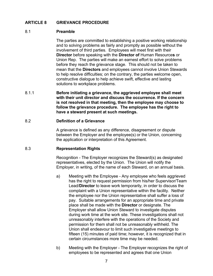# <span id="page-12-1"></span><span id="page-12-0"></span>**ARTICLE 8 GRIEVANCE PROCEDURE**

#### 8.1 **Preamble**

The parties are committed to establishing a positive working relationship and to solving problems as fairly and promptly as possible without the involvement of third parties. Employees will meet first with their **Director** before speaking with the **Director of** Human Resource**s** or Union Rep. The parties will make an earnest effort to solve problems before they reach the grievance stage. This should not be taken to mean that the **Directors** and employees cannot involve Union Stewards to help resolve difficulties; on the contrary, the parties welcome open, constructive dialogue to help achieve swift, effective and lasting solutions to workplace problems.

8.1.1 **Before initiating a grievance, the aggrieved employee shall meet with their unit director and discuss the occurrence. If the concern is not resolved in that meeting, then the employee may choose to follow the grievance procedure. The employee has the right to have a steward present at such meetings.**

# <span id="page-12-2"></span>8.2 **Definition of a Grievance**

A grievance is defined as any difference, disagreement or dispute between the Employer and the employee(s) or the Union, concerning the application or interpretation of this Agreement.

#### 8.3 **Representation Rights**

Recognition - The Employer recognizes the Steward(s) as designated representatives, elected by the Union. The Union will notify the Employer, in writing, of the name of each Steward, on an annual basis.

- a) Meeting with the Employee Any employee who feels aggrieved has the right to request permission from his/her Supervisor/Team Lead/**Director** to leave work temporarily, in order to discuss the complaint with a Union representative within the facility. Neither the employee nor the Union representative shall suffer a loss of pay. Suitable arrangements for an appropriate time and private place shall be made with the **Director** or designate. The Employer shall allow Union Steward to investigate disputes during work time at the work site. These investigations shall not unreasonably interfere with the operations of the Society and permission for them shall not be unreasonably withheld. The Union shall endeavour to limit such investigative meetings to fifteen (15) minutes of paid time; however, it is recognized that in certain circumstances more time may be needed.
- b) Meeting with the Employer The Employer recognizes the right of employees to be represented and agrees that one Union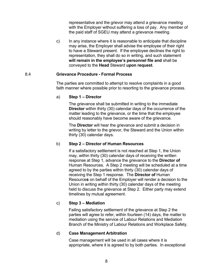representative and the grievor may attend a grievance meeting with the Employer without suffering a loss of pay. Any member of the paid staff of SGEU may attend a grievance meeting.

c) In any instance where it is reasonable to anticipate that discipline may arise, the Employer shall advise the employee of their right to have a Steward present. If the employee declines the right to representation, they shall do so in writing, and such statement **will remain in the employee's personnel file and** shall be conveyed to the **Head** Steward **upon request**.

# <span id="page-13-0"></span>8.4 **Grievance Procedure - Formal Process**

The parties are committed to attempt to resolve complaints in a good faith manner where possible prior to resorting to the grievance process.

# a) **Step 1 – Director**

The grievance shall be submitted in writing to the immediate **Director** within thirty (30) calendar days of the occurrence of the matter leading to the grievance, or the time that the employee should reasonably have become aware of the grievance.

The **Director** will hear the grievance and submit a decision in writing by letter to the grievor, the Steward and the Union within thirty (30) calendar days.

# b) **Step 2 – Director of Human Resources**

If a satisfactory settlement is not reached at Step 1, the Union may, within thirty (30) calendar days of receiving the written response at Step 1, advance the grievance to the **Director of**  Human Resources. A Step 2 meeting will be scheduled at a time agreed to by the parties within thirty (30) calendar days of receiving the Step 1 response. The **Director of** Human Resource**s** on behalf of the Employer will render a decision to the Union in writing within thirty (30) calendar days of the meeting held to discuss the grievance at Step 2. Either party may extend timelines by mutual agreement.

# c) **Step 3 – Mediation**

Failing satisfactory settlement of the grievance at Step 2 the parties will agree to refer, within fourteen (14) days, the matter to mediation using the service of Labour Relations and Mediation Branch of the Ministry of Labour Relations and Workplace Safety.

#### d) **Case Management Arbitration**

Case management will be used in all cases where it is appropriate, where it is agreed to by both parties. In exceptional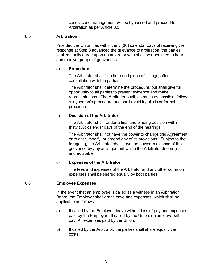cases, case management will be bypassed and proceed to Arbitration as per Article 8.5.

# <span id="page-14-0"></span>8.5 **Arbitration**

Provided the Union has within thirty (30) calendar days of receiving the response at Step 3 advanced the grievance to arbitration, the parties shall mutually agree upon an arbitrator who shall be appointed to hear and resolve groups of grievances.

#### a) **Procedure**

The Arbitrator shall fix a time and place of sittings, after consultation with the parties.

The Arbitrator shall determine the procedure, but shall give full opportunity to all parties to present evidence and make representations. The Arbitrator shall, as much as possible, follow a layperson's procedure and shall avoid legalistic or formal procedure.

# b) **Decision of the Arbitrator**

The Arbitrator shall render a final and binding decision within thirty (30) calendar days of the end of the hearings.

The Arbitrator shall not have the power to change this Agreement or to alter, modify, or amend any of its provisions. Subject to the foregoing, the Arbitrator shall have the power to dispose of the grievance by any arrangement which the Arbitrator deems just and equitable.

# c) **Expenses of the Arbitrator**

The fees and expenses of the Arbitrator and any other common expenses shall be shared equally by both parties.

# <span id="page-14-1"></span>8.6 **Employee Expenses**

In the event that an employee is called as a witness in an Arbitration Board, the Employer shall grant leave and expenses, which shall be applicable as follows:

- a) If called by the Employer, leave without loss of pay and expenses paid by the Employer. If called by the Union, union leave with pay. All expenses paid by the Union.
- b) If called by the Arbitrator, the parties shall share equally the costs.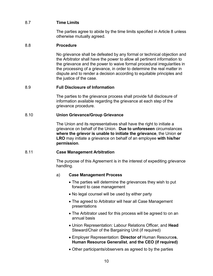# <span id="page-15-0"></span>8.7 **Time Limits**

The parties agree to abide by the time limits specified in Article 8 unless otherwise mutually agreed.

# <span id="page-15-1"></span>8.8 **Procedure**

No grievance shall be defeated by any formal or technical objection and the Arbitrator shall have the power to allow all pertinent information to the grievance and the power to waive formal procedural irregularities in the processing of a grievance, in order to determine the real matter in dispute and to render a decision according to equitable principles and the justice of the case.

# <span id="page-15-2"></span>8.9 **Full Disclosure of Information**

The parties to the grievance process shall provide full disclosure of information available regarding the grievance at each step of the grievance procedure.

# <span id="page-15-3"></span>8.10 **Union Grievance/Group Grievance**

The Union and its representatives shall have the right to initiate a grievance on behalf of the Union. **Due to unforeseen** circumstances **where the grievor is unable to initiate the grievance**, the Union **or LRO** may initiate a grievance on behalf of an employee **with his/her permission**.

#### <span id="page-15-4"></span>8.11 **Case Management Arbitration**

The purpose of this Agreement is in the interest of expediting grievance handling.

#### a) **Case Management Process**

- The parties will determine the grievances they wish to put forward to case management
- No legal counsel will be used by either party
- The agreed to Arbitrator will hear all Case Management presentations
- The Arbitrator used for this process will be agreed to on an annual basis
- Union Representation: Labour Relations Officer, and **Head**  Steward/Chair of the Bargaining Unit (if required)
- Employer Representation: **Director of** Human Resource**s**, **Human Resource Generalist**, **and the CEO (if required)**
- Other participants/observers as agreed to by the parties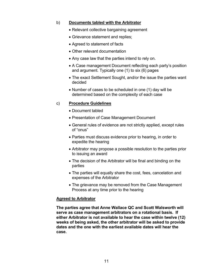# b) **Documents tabled with the Arbitrator**

- Relevant collective bargaining agreement
- Grievance statement and replies;
- Agreed to statement of facts
- Other relevant documentation
- Any case law that the parties intend to rely on.
- A Case management Document reflecting each party's position and argument. Typically one (1) to six (6) pages
- The exact Settlement Sought, and/or the issue the parties want decided
- Number of cases to be scheduled in one (1) day will be determined based on the complexity of each case

# c) **Procedure Guidelines**

- Document tabled
- Presentation of Case Management Document
- General rules of evidence are not strictly applied, except rules of "onus"
- Parties must discuss evidence prior to hearing, in order to expedite the hearing
- Arbitrator may propose a possible resolution to the parties prior to issuing an award
- The decision of the Arbitrator will be final and binding on the parties
- The parties will equally share the cost, fees, cancelation and expenses of the Arbitrator
- The grievance may be removed from the Case Management Process at any time prior to the hearing

#### **Agreed to Arbitrator**

**The parties agree that Anne Wallace QC and Scott Walsworth will serve as case management arbitrators on a rotational basis. If either Arbitrator is not available to hear the case within twelve (12) weeks of being asked, the other arbitrator will be asked to provide dates and the one with the earliest available dates will hear the case.**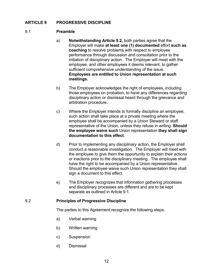# <span id="page-17-1"></span><span id="page-17-0"></span>**ARTICLE 9 PROGRESSIVE DISCIPLINE**

#### 9.1 **Preamble**

- a) **Notwithstanding Article 9.2,** both parties agree that the Employer will make **at least one (1) documented** effort **such as coaching** to resolve problems with respect to employee performance through discussion and consultation prior to the initiation of disciplinary action. The Employer will meet with the employee, and other employees it deems relevant, to gather sufficient comprehensive understanding of the issue. **Employees are entitled to Union representation at such meetings.**
- b) The Employer acknowledges the right of employees, including those employees on probation, to have any differences regarding disciplinary action or dismissal heard through the grievance and arbitration procedure.
- c) Where the Employer intends to formally discipline an employee; such action shall take place at a private meeting where the employee shall be accompanied by a Union Steward or staff representative of the Union, unless they refuse in writing. **Should the employee waive such** Union representation **they shall sign documentation to this effect**.
- d) Prior to implementing any disciplinary action, the Employer shall conduct a reasonable investigation. The Employer will meet with the employee to give them the opportunity to explain their actions or inactions prior to the disciplinary meeting. The employee shall have the right to be accompanied by a Union representative. Should the employee waive such Union representation they shall sign a document to this effect.
- e) The Employer recognizes that information gathering processes and disciplinary processes are different and are to be kept separate as outlined in Article 9.1.

#### <span id="page-17-2"></span>9.2 **Principles of Progressive Discipline**

The parties to this Agreement recognize the following steps:

- a) Verbal warning
- b) Written warning
- c) Suspension
- d) Dismissal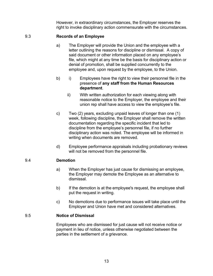However, in extraordinary circumstances, the Employer reserves the right to invoke disciplinary action commensurate with the circumstances.

# <span id="page-18-0"></span>9.3 **Records of an Employee**

- a) The Employer will provide the Union and the employee with a letter outlining the reasons for discipline or dismissal. A copy of said document or other information placed on any employee's file, which might at any time be the basis for disciplinary action or denial of promotion, shall be supplied concurrently to the employee and, upon request by the employee, to the Union.
- b) i) Employees have the right to view their personnel file in the presence of **any staff from the Human Resources department**.
	- ii) With written authorization for each viewing along with reasonable notice to the Employer, the employee and their union rep shall have access to view the employee's file.
- c) Two (2) years, excluding unpaid leaves of longer than one (1) week, following discipline, the Employer shall remove the written documentation regarding the specific incident that led to discipline from the employee's personnel file, if no further disciplinary action was noted. The employee will be informed in writing when documents are removed.
- d) Employee performance appraisals including probationary reviews will not be removed from the personnel file.

#### <span id="page-18-1"></span>9.4 **Demotion**

- a) When the Employer has just cause for dismissing an employee, the Employer may demote the Employee as an alternative to dismissal.
- b) If the demotion is at the employee's request, the employee shall put the request in writing.
- c) No demotions due to performance issues will take place until the Employer and Union have met and considered alternatives.

#### <span id="page-18-2"></span>9.5 **Notice of Dismissal**

Employees who are dismissed for just cause will not receive notice or payment in lieu of notice, unless otherwise negotiated between the parties in the settlement of a grievance.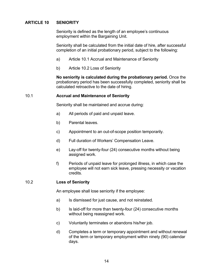# <span id="page-19-0"></span>**ARTICLE 10 SENIORITY**

Seniority is defined as the length of an employee's continuous employment within the Bargaining Unit.

Seniority shall be calculated from the initial date of hire, after successful completion of an initial probationary period, subject to the following:

- a) Article 10.1 Accrual and Maintenance of Seniority
- b) Article 10.2 Loss of Seniority

**No seniority is calculated during the probationary period.** Once the probationary period has been successfully completed, seniority shall be calculated retroactive to the date of hiring.

#### <span id="page-19-1"></span>10.1 **Accrual and Maintenance of Seniority**

Seniority shall be maintained and accrue during:

- a) All periods of paid and unpaid leave.
- b) Parental leaves.
- c) Appointment to an out-of-scope position temporarily.
- d) Full duration of Workers' Compensation Leave.
- e) Lay-off for twenty-four (24) consecutive months without being assigned work.
- f) Periods of unpaid leave for prolonged illness, in which case the employee will not earn sick leave, pressing necessity or vacation credits.

#### <span id="page-19-2"></span>10.2 **Loss of Seniority**

An employee shall lose seniority if the employee:

- a) Is dismissed for just cause, and not reinstated.
- b) Is laid-off for more than twenty-four (24) consecutive months without being reassigned work.
- c) Voluntarily terminates or abandons his/her job.
- d) Completes a term or temporary appointment and without renewal of the term or temporary employment within ninety (90) calendar days.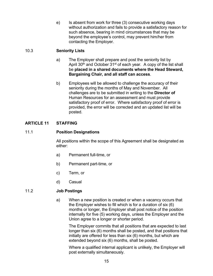e) Is absent from work for three (3) consecutive working days without authorization and fails to provide a satisfactory reason for such absence, bearing in mind circumstances that may be beyond the employee's control, may prevent him/her from contacting the Employer.

# <span id="page-20-0"></span>10.3 **Seniority Lists**

- a) The Employer shall prepare and post the seniority list by April 30<sup>th</sup> and October 31<sup>st</sup> of each year. A copy of the list shall be **placed in a shared documents where the Head Steward, Bargaining Chair, and all staff can access**.
- b) Employees will be allowed to challenge the accuracy of their seniority during the months of May and November. All challenges are to be submitted in writing to the **Director of**  Human Resources for an assessment and must provide satisfactory proof of error. Where satisfactory proof of error is provided, the error will be corrected and an updated list will be posted.

# <span id="page-20-1"></span>**ARTICLE 11 STAFFING**

# <span id="page-20-2"></span>11.1 **Position Designations**

All positions within the scope of this Agreement shall be designated as either:

- a) Permanent full-time, or
- b) Permanent part-time, or
- c) Term, or
- d) Casual

# <span id="page-20-3"></span>11.2 **Job Postings**

a) When a new position is created or when a vacancy occurs that the Employer wishes to fill which is for a duration of six (6) months or longer, the Employer shall post notice of the position internally for five (5) working days, unless the Employer and the Union agree to a longer or shorter period.

The Employer commits that all positions that are expected to last longer than six (6) months shall be posted, and that positions that initially are offered for less than six (6) months, but which are extended beyond six (6) months, shall be posted.

Where a qualified internal applicant is unlikely, the Employer will post externally simultaneously.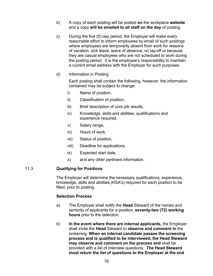- b) A copy of each posting will be posted **on** the workplace **website**  and a copy **will be emailed to all staff on the day** of posting.
- c) During the five (5) day period, the Employer will make every reasonable effort to inform employees by email of such postings where employees are temporarily absent from work for reasons of vacation, sick leave, leave of absence, on lay-off or because they are casual employees who are not scheduled to work during the posting period. It is the employee's responsibility to maintain a current email address with the Employer for such purposes.
- d) Information in Posting

Each posting shall contain the following, however, the information contained may be subject to change:

- i) Name of position,
- ii) Classification of position,
- iii) Brief description of core job results,
- iv) Knowledge, skills and abilities, qualifications and experience required,
- v) Salary range,
- vi) Hours of work,
- vii) Status of position,
- viii) Deadline for applications,
- ix) Expected start date,
- x) and any other pertinent information.

#### <span id="page-21-0"></span>11.3 **Qualifying for Positions**

The Employer will determine the necessary qualifications, experience, knowledge, skills and abilities (KSA's) required for each position to be filled, prior to posting.

#### **Selection Process**

- a) The Employer shall notify the **Head** Steward of the names and seniority of applicants for a position, **seventy-two (72) working hours** prior to the selection.
- b) **In the event where there are internal applicants,** the Employer shall invite the **Head** Steward to **observe and comment in** the screening. **When an internal candidate passes the screening process and is qualified to be interviewed, the Head Steward may observe and comment on the process and** shall be provided with a list of interview questions. **The Head Steward must return the list of questions to the Employer at the end**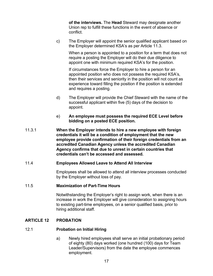**of the interviews.** The **Head** Steward may designate another Union rep to fulfill these functions in the event of absence or conflict.

c) The Employer will appoint the senior qualified applicant based on the Employer determined KSA's as per Article 11.3.

When a person is appointed to a position for a term that does not require a posting the Employer will do their due diligence to appoint one with minimum required KSA's for the position.

If circumstances force the Employer to hire a person for an appointed position who does not possess the required KSA's, then their services and seniority in the position will not count as experience toward filling the position if the position is extended and requires a posting.

- d) The Employer will provide the Chief Steward with the name of the successful applicant within five (5) days of the decision to appoint.
- e) **An employee must possess the required ECE Level before bidding on a posted ECE position.**
- 11.3.1 **When the Employer intends to hire a new employee with foreign credentials it will be a condition of employment that the new employee provide confirmation of their foreign credentials from an accredited Canadian Agency unless the accredited Canadian Agency confirms that due to unrest in certain countries that credentials can't be accessed and assessed.**

#### <span id="page-22-0"></span>11.4 **Employees Allowed Leave to Attend All Interview**

Employees shall be allowed to attend all interview processes conducted by the Employer without loss of pay.

#### <span id="page-22-1"></span>11.5 **Maximization of Part-Time Hours**

Notwithstanding the Employer's right to assign work, when there is an increase in work the Employer will give consideration to assigning hours to existing part-time employees, on a senior qualified basis, prior to hiring additional staff.

#### <span id="page-22-2"></span>**ARTICLE 12 PROBATION**

#### <span id="page-22-3"></span>12.1 **Probation on Initial Hiring**

a) Newly hired employees shall serve an initial probationary period of eighty (80) days worked (one hundred (100) days for Team Leader/Supervisors) from the date the employee commences employment.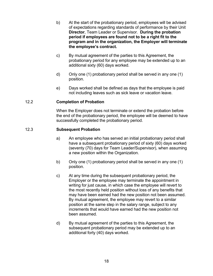- b) At the start of the probationary period, employees will be advised of expectations regarding standards of performance by their Unit **Director**, Team Leader or Supervisor. **During the probation period if employees are found not to be a right fit to the program and in the organization, the Employer will terminate the employee's contract.**
- c) By mutual agreement of the parties to this Agreement, the probationary period for any employee may be extended up to an additional sixty (60) days worked.
- d) Only one (1) probationary period shall be served in any one (1) position.
- e) Days worked shall be defined as days that the employee is paid not including leaves such as sick leave or vacation leave.

# <span id="page-23-0"></span>12.2 **Completion of Probation**

When the Employer does not terminate or extend the probation before the end of the probationary period, the employee will be deemed to have successfully completed the probationary period.

#### <span id="page-23-1"></span>12.3 **Subsequent Probation**

- a) An employee who has served an initial probationary period shall have a subsequent probationary period of sixty (60) days worked (seventy (70) days for Team Leader/Supervisor), when assuming a new position within the Organization.
- b) Only one (1) probationary period shall be served in any one (1) position.
- c) At any time during the subsequent probationary period, the Employer or the employee may terminate the appointment in writing for just cause, in which case the employee will revert to the most recently held position without loss of any benefits that may have been earned had the new position not been assumed. By mutual agreement, the employee may revert to a similar position at the same step in the salary range, subject to any increments that would have earned had the new position not been assumed.
- d) By mutual agreement of the parties to this Agreement, the subsequent probationary period may be extended up to an additional forty (40) days worked.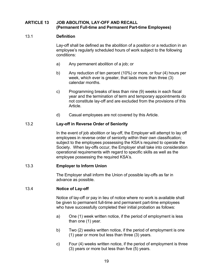# <span id="page-24-0"></span>**ARTICLE 13 JOB ABOLITION, LAY-OFF AND RECALL (Permanent Full-time and Permanent Part-time Employees)**

# <span id="page-24-1"></span>13.1 **Definition**

Lay-off shall be defined as the abolition of a position or a reduction in an employee's regularly scheduled hours of work subject to the following conditions:

- a) Any permanent abolition of a job; or
- b) Any reduction of ten percent (10%) or more, or four (4) hours per week, which ever is greater, that lasts more than three (3) calendar months.
- c) Programming breaks of less than nine (9) weeks in each fiscal year and the termination of term and temporary appointments do not constitute lay-off and are excluded from the provisions of this Article.
- d) Casual employees are not covered by this Article.

#### <span id="page-24-2"></span>13.2 **Lay-off in Reverse Order of Seniority**

In the event of job abolition or lay-off, the Employer will attempt to lay off employees in reverse order of seniority within their own classification; subject to the employees possessing the KSA's required to operate the Society. When lay-offs occur, the Employer shall take into consideration operational requirements with regard to specific skills as well as the employee possessing the required KSA's.

#### <span id="page-24-3"></span>13.3 **Employer to Inform Union**

The Employer shall inform the Union of possible lay-offs as far in advance as possible.

#### <span id="page-24-4"></span>13.4 **Notice of Lay-off**

Notice of lay-off or pay in lieu of notice where no work is available shall be given to permanent full-time and permanent part-time employees who have successfully completed their initial probation as follows:

- a) One (1) week written notice, if the period of employment is less than one (1) year.
- b) Two (2) weeks written notice, if the period of employment is one (1) year or more but less than three (3) years.
- c) Four (4) weeks written notice, if the period of employment is three (3) years or more but less than five (5) years.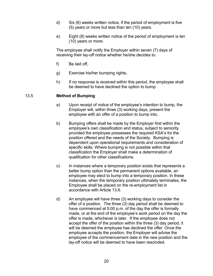- d) Six (6) weeks written notice, if the period of employment is five (5) years or more but less than ten (10) years.
- e) Eight (8) weeks written notice of the period of employment is ten (10) years or more.

The employee shall notify the Employer within seven (7) days of receiving their lay-off notice whether he/she decides to:

- f) Be laid off,
- g) Exercise his/her bumping rights,
- h) If no response is received within this period, the employee shall be deemed to have declined the option to bump.

# <span id="page-25-0"></span>13.5 **Method of Bumping**

- a) Upon receipt of notice of the employee's intention to bump, the Employer will, within three (3) working days, present the employee with an offer of a position to bump into.
- b) Bumping offers shall be made by the Employer first within the employee's own classification and status, subject to seniority provided the employee possesses the required KSA's for the position offered and the needs of the Society. Bumping is dependent upon operational requirements and consideration of specific skills. Where bumping is not possible within that classification the Employer shall make a determination of qualification for other classifications.
- c) In instances where a temporary position exists that represents a better bump option than the permanent options available, an employee may elect to bump into a temporary position. In these instances, when the temporary position ultimately terminates, the Employee shall be placed on the re-employment list in accordance with Article 13.6.
- d) An employee will have three (3) working days to consider the offer of a position. The three (3) day period shall be deemed to have commenced at 5:00 p.m. of the day the offer is formally made, or at the end of the employee's work period on the day the offer is made, whichever is later. If the employee does not accept the offer of the position within the three (3) day period, it will be deemed the employee has declined the offer. Once the employee accepts the position, the Employer will advise the employee of the commencement date in the new position and the lay-off notice will be deemed to have been rescinded.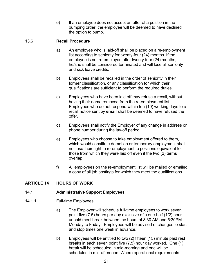e) If an employee does not accept an offer of a position in the bumping order, the employee will be deemed to have declined the option to bump.

# <span id="page-26-0"></span>13.6 **Recall Procedure**

- a) An employee who is laid-off shall be placed on a re-employment list according to seniority for twenty-four (24) months. If the employee is not re-employed after twenty-four (24) months, he/she shall be considered terminated and will lose all seniority and sick leave credits.
- b) Employees shall be recalled in the order of seniority in their former classification, or any classification for which their qualifications are sufficient to perform the required duties.
- c) Employees who have been laid off may refuse a recall, without having their name removed from the re-employment list. Employees who do not respond within ten (10) working days to a recall notice sent by **email** shall be deemed to have refused the offer.
- d) Employees shall notify the Employer of any change in address or phone number during the lay-off period.
- e) Employees who choose to take employment offered to them, which would constitute demotion or temporary employment shall not lose their right to re-employment to positions equivalent to those from which they were laid off even if the two (2) terms overlap.
- f) All employees on the re-employment list will be mailed or emailed a copy of all job postings for which they meet the qualifications.

# <span id="page-26-1"></span>**ARTICLE 14 HOURS OF WORK**

# <span id="page-26-2"></span>14.1 **Administrative Support Employees**

# 14.1.1 Full-time Employees

- a) The Employer will schedule full-time employees to work seven point five (7.5) hours per day exclusive of a one-half (1/2) hour unpaid meal break between the hours of 8:30 AM and 5:30PM Monday to Friday. Employees will be advised of changes to start and stop times one week in advance.
- b) Employees will be entitled to two (2) fifteen (15) minute paid rest breaks in each seven point five (7.5) hour day worked. One (1) break will be scheduled in mid-morning and one will be scheduled in mid-afternoon. Where operational requirements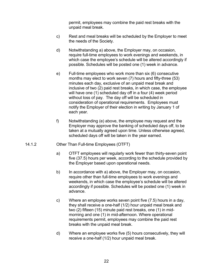permit, employees may combine the paid rest breaks with the unpaid meal break.

- c) Rest and meal breaks will be scheduled by the Employer to meet the needs of the Society.
- d) Notwithstanding a) above, the Employer may, on occasion, require full-time employees to work evenings and weekends, in which case the employee's schedule will be altered accordingly if possible. Schedules will be posted one (1) week in advance.
- e) Full-time employees who work more than six (6) consecutive months may elect to work seven (7) hours and fifty-three (53) minutes each day, exclusive of an unpaid meal break and inclusive of two (2) paid rest breaks, in which case, the employee will have one (1) scheduled day off in a four (4) week period without loss of pay. The day off will be scheduled in consideration of operational requirements. Employees must notify the Employer of their election in writing by January 1 of each year.
- f) Notwithstanding (e) above, the employee may request and the Employer may approve the banking of scheduled days off, to be taken at a mutually agreed upon time. Unless otherwise agreed, scheduled days off will be taken in the year earned.
- 14.1.2 Other Than Full-time Employees (OTFT)
	- a) OTFT employees will regularly work fewer than thirty-seven point five (37.5) hours per week, according to the schedule provided by the Employer based upon operational needs.
	- b) In accordance with a) above, the Employer may, on occasion, require other than full-time employees to work evenings and weekends, in which case the employee's schedule will be altered accordingly if possible. Schedules will be posted one (1) week in advance.
	- c) Where an employee works seven point five (7.5) hours in a day, they shall receive a one-half (1/2) hour unpaid meal break and two (2) fifteen (15) minute paid rest breaks, one (1) in midmorning and one (1) in mid-afternoon. Where operational requirements permit, employees may combine the paid rest breaks with the unpaid meal break.
	- d) Where an employee works five (5) hours consecutively, they will receive a one-half (1/2) hour unpaid meal break.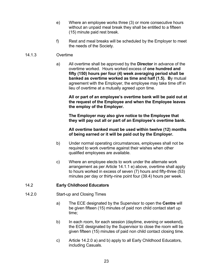- e) Where an employee works three (3) or more consecutive hours without an unpaid meal break they shall be entitled to a fifteen (15) minute paid rest break.
- f) Rest and meal breaks will be scheduled by the Employer to meet the needs of the Society.

# 14.1.3 Overtime

a) All overtime shall be approved by the **Director** in advance of the overtime worked. Hours worked excess of **one hundred and fifty (150) hours per four (4) week averaging period shall be banked as overtime worked as time and half (1.5). B**y mutual agreement with the Employer, the employee may take time off in lieu of overtime at a mutually agreed upon time.

**All or part of an employee's overtime bank will be paid out at the request of the Employee and when the Employee leaves the employ of the Employer.** 

**The Employer may also give notice to the Employee that they will pay out all or part of an Employee's overtime bank.** 

**All overtime banked must be used within twelve (12) months of being earned or it will be paid out by the Employer.**

- b) Under normal operating circumstances, employees shall not be required to work overtime against their wishes when other qualified employees are available.
- c) Where an employee elects to work under the alternate work arrangement as per Article 14.1.1 e) above, overtime shall apply to hours worked in excess of seven (7) hours and fifty-three (53) minutes per day or thirty-nine point four (39.4) hours per week.

# <span id="page-28-0"></span>14.2 **Early Childhood Educators**

# 14.2.0 Start-up and Closing Times

- a) The ECE designated by the Supervisor to open the **Centre** will be given fifteen (15) minutes of paid non child contact start up time;
- b) In each room, for each session (daytime, evening or weekend), the ECE designated by the Supervisor to close the room will be given fifteen (15) minutes of paid non child contact closing time.
- c) Article 14.2.0 a) and b) apply to all Early Childhood Educators, including Casuals.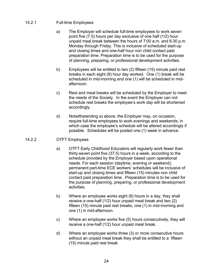# 14.2.1 Full-time Employees

- a) The Employer will schedule full-time employees to work seven point five (7.5) hours per day exclusive of one half (1/2) hour unpaid meal break between the hours of 7:00 a.m. and 6:30 p.m. Monday through Friday. This is inclusive of scheduled start-up and closing times and one-half hour non child contact paid preparation time. Preparation time is to be used for the purpose of planning, preparing, or professional development activities.
- b) Employees will be entitled to two (2) fifteen (15) minute paid rest breaks in each eight (8) hour day worked. One (1) break will be scheduled in mid-morning and one (1) will be scheduled in midafternoon.
- c) Rest and meal breaks will be scheduled by the Employer to meet the needs of the Society. In the event the Employer can not schedule rest breaks the employee's work day will be shortened accordingly.
- d) Notwithstanding a) above, the Employer may, on occasion, require full-time employees to work evenings and weekends, in which case the employee's schedule will be altered accordingly if possible. Schedules will be posted one (1) week in advance.

# 14.2.2 OTFT Employees

- a) OTFT Early Childhood Educators will regularly work fewer than thirty-seven point five (37.5) hours in a week, according to the schedule provided by the Employer based upon operational needs. For each session (daytime, evening or weekend), permanent part-time ECE workers' schedules will be inclusive of start-up and closing times and fifteen (15) minutes non child contact paid preparation time. Preparation time is to be used for the purpose of planning, preparing, or professional development activities.
- b) Where an employee works eight (8) hours in a day, they shall receive a one-half (1/2) hour unpaid meal break and two (2) fifteen (15) minute paid rest breaks, one (1) in mid-morning and one (1) in mid-afternoon.
- c) Where an employee works five (5) hours consecutively, they will receive a one-half (1/2) hour unpaid meal break.
- d) Where an employee works three (3) or more consecutive hours without an unpaid meal break they shall be entitled to a fifteen (15) minute paid rest break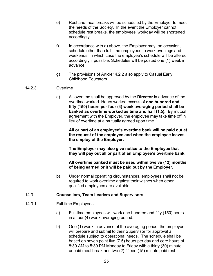- e) Rest and meal breaks will be scheduled by the Employer to meet the needs of the Society. In the event the Employer cannot schedule rest breaks, the employees' workday will be shortened accordingly.
- f) In accordance with a) above, the Employer may, on occasion, schedule other than full-time employees to work evenings and weekends, in which case the employee's schedule will be altered accordingly if possible. Schedules will be posted one (1) week in advance.
- g) The provisions of Article14.2.2 also apply to Casual Early Childhood Educators.

# 14.2.3 Overtime

a) All overtime shall be approved by the **Director** in advance of the overtime worked. Hours worked excess of **one hundred and fifty (150) hours per four (4) week averaging period shall be banked as overtime worked as time and half (1.5). B**y mutual agreement with the Employer, the employee may take time off in lieu of overtime at a mutually agreed upon time.

**All or part of an employee's overtime bank will be paid out at the request of the employee and when the employee leaves the employ of the Employer.** 

**The Employer may also give notice to the Employee that they will pay out all or part of an Employee's overtime bank.** 

**All overtime banked must be used within twelve (12) months of being earned or it will be paid out by the Employer.**

b) Under normal operating circumstances, employees shall not be required to work overtime against their wishes when other qualified employees are available.

#### <span id="page-30-0"></span>14.3 **Counsellors, Team Leaders and Supervisors**

- 14.3.1 Full-time Employees
	- a) Full-time employees will work one hundred and fifty (150) hours in a four (4) week averaging period.
	- b) One (1) week in advance of the averaging period, the employee will prepare and submit to their Supervisor for approval a schedule subject to operational needs. The schedule shall be based on seven point five (7.5) hours per day and core hours of 8:30 AM to 5:30 PM Monday to Friday with a thirty (30) minute unpaid meal break and two (2) fifteen (15) minute paid rest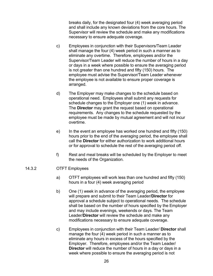breaks daily, for the designated four (4) week averaging period and shall include any known deviations from the core hours. The Supervisor will review the schedule and make any modifications necessary to ensure adequate coverage.

- c) Employees in conjunction with their Supervisors/Team Leader shall manage the four (4) week period in such a manner as to eliminate any overtime. Therefore, employees and/or the Supervisor/Team Leader will reduce the number of hours in a day or days in a week where possible to ensure the averaging period is not greater than one hundred and fifty (150) hours. The employee must advise the Supervisor/Team Leader whenever the employee is not available to ensure proper coverage is arranged.
- d) The Employer may make changes to the schedule based on operational need. Employees shall submit any requests for schedule changes to the Employer one (1) week in advance. The **Director** may grant the request based on operational requirements. Any changes to the schedule requested by the employee must be made by mutual agreement and will not incur overtime.
- e) In the event an employee has worked one hundred and fifty (150) hours prior to the end of the averaging period, the employee shall call the **Director** for either authorization to work additional hours or for approval to schedule the rest of the averaging period off.
- f) Rest and meal breaks will be scheduled by the Employer to meet the needs of the Organization.

#### 14.3.2 OTFT Employees

- a) OTFT employees will work less than one hundred and fifty (150) hours in a four (4) week averaging period
- b) One (1) week in advance of the averaging period, the employee will prepare and submit to their Team Leader/**Director** for approval a schedule subject to operational needs. The schedule shall be based on the number of hours specified by the Employer and may include evenings, weekends or days. The Team Leader/**Director** will review the schedule and make any modifications necessary to ensure adequate coverage.
- c) Employees in conjunction with their Team Leader/ **Director** shall manage the four (4) week period in such a manner as to eliminate any hours in excess of the hours specified by the Employer. Therefore, employees and/or the Team Leader/ **Director** will reduce the number of hours in a day or days in a week where possible to ensure the averaging period is not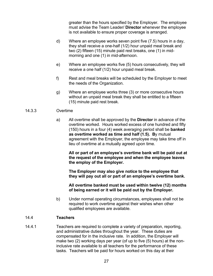greater than the hours specified by the Employer. The employee must advise the Team Leader/ **Director** whenever the employee is not available to ensure proper coverage is arranged.

- d) Where an employee works seven point five (7.5) hours in a day, they shall receive a one-half (1/2) hour unpaid meal break and two (2) fifteen (15) minute paid rest breaks, one (1) in midmorning and one (1) in mid-afternoon.
- e) Where an employee works five (5) hours consecutively, they will receive a one half (1/2) hour unpaid meal break.
- f) Rest and meal breaks will be scheduled by the Employer to meet the needs of the Organization.
- g) Where an employee works three (3) or more consecutive hours without an unpaid meal break they shall be entitled to a fifteen (15) minute paid rest break.

# 14.3.3 Overtime

a) All overtime shall be approved by the **Director** in advance of the overtime worked. Hours worked excess of one hundred and fifty (150) hours in a four (4) week averaging period shall be **banked as overtime worked as time and half (1.5). B**y mutual agreement with the Employer, the employee may take time off in lieu of overtime at a mutually agreed upon time.

**All or part of an employee's overtime bank will be paid out at the request of the employee and when the employee leaves the employ of the Employer.** 

**The Employer may also give notice to the employee that they will pay out all or part of an employee's overtime bank.** 

**All overtime banked must be used within twelve (12) months of being earned or it will be paid out by the Employer.**

b) Under normal operating circumstances, employees shall not be required to work overtime against their wishes when other qualified employees are available.

#### <span id="page-32-0"></span>14.4 **Teachers**

14.4.1 Teachers are required to complete a variety of preparation, reporting, and administrative duties throughout the year. These duties are compensated for in the inclusive rate. In addition, the Employer will make two (2) working days per year (of up to five (5) hours) at the noninclusive rate available to all teachers for the performance of these tasks. Teachers will be paid for hours worked on this day at their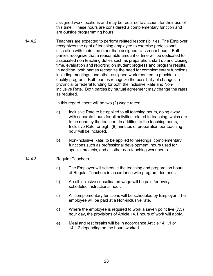assigned work locations and may be required to account for their use of this time. These hours are considered a complementary function and are outside programming hours.

14.4.2 Teachers are expected to perform related responsibilities. The Employer recognizes the right of teaching employee to exercise professional discretion with their time other than assigned classroom hours. Both parties recognize that a reasonable amount of time will be dedicated to associated non teaching duties such as preparation, start up and closing time, evaluation and reporting on student progress and program results. In addition, both parties recognize the need for complementary functions including meetings, and other assigned work required to provide a quality program. Both parties recognize the possibility of changes in provincial or federal funding for both the Inclusive Rate and Noninclusive Rate. Both parties by mutual agreement may change the rates as required.

In this regard, there will be two (2) wage rates:

- a) Inclusive Rate to be applied to all teaching hours, doing away with separate hours for all activities related to teaching, which are to be done by the teacher. In addition to the teaching hours, Inclusive Rate for eight (8) minutes of preparation per teaching hour will be included.
- b) Non-inclusive Rate, to be applied to meetings, complementary functions such as professional development, hours used for special projects, and all other non-teaching work hours.
- 14.4.3 Regular Teachers
	- a) The Employer will schedule the teaching and preparation hours of Regular Teachers in accordance with program demands.
	- b) An all-inclusive consolidated wage will be paid for every scheduled instructional hour.
	- c) All complementary functions will be scheduled by Employer. The employee will be paid at a Non-inclusive rate.
	- d) Where the employee is required to work a seven point five (7.5) hour day, the provisions of Article 14.1 hours of work will apply.
	- e) Meal and rest breaks will be in accordance Article 14.1.1 or 14.1.2 depending on the hours worked.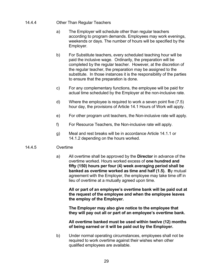#### 14.4.4 Other Than Regular Teachers

- a) The Employer will schedule other than regular teachers according to program demands. Employees may work evenings, weekends or days. The number of hours will be specified by the Employer.
- b) For Substitute teachers, every scheduled teaching hour will be paid the inclusive wage. Ordinarily, the preparation will be completed by the regular teacher. However, at the discretion of the regular teacher, the preparation may be assigned to the substitute. In those instances it is the responsibility of the parties to ensure that the preparation is done.
- c) For any complementary functions, the employee will be paid for actual time scheduled by the Employer at the non-inclusive rate.
- d) Where the employee is required to work a seven point five (7.5) hour day, the provisions of Article 14.1 Hours of Work will apply.
- e) For other program unit teachers, the Non-inclusive rate will apply.
- f) For Resource Teachers, the Non-inclusive rate will apply.
- g) Meal and rest breaks will be in accordance Article 14.1.1 or 14.1.2 depending on the hours worked.

# 14.4.5 Overtime

a) All overtime shall be approved by the **Director** in advance of the overtime worked. Hours worked excess of **one hundred and fifty (150) hours per four (4) week averaging period shall be banked as overtime worked as time and half (1.5). B**y mutual agreement with the Employer, the employee may take time off in lieu of overtime at a mutually agreed upon time.

**All or part of an employee's overtime bank will be paid out at the request of the employee and when the employee leaves the employ of the Employer.** 

**The Employer may also give notice to the employee that they will pay out all or part of an employee's overtime bank.** 

**All overtime banked must be used within twelve (12) months of being earned or it will be paid out by the Employer.**

b) Under normal operating circumstances, employees shall not be required to work overtime against their wishes when other qualified employees are available.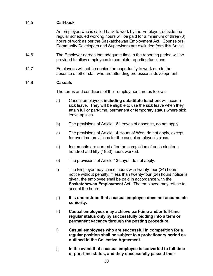# <span id="page-35-0"></span>14.5 **Call-back**

An employee who is called back to work by the Employer, outside the regular scheduled working hours will be paid for a minimum of three (3) hours of work as per the Saskatchewan Employment Act. Counselors, Community Developers and Supervisors are excluded from this Article.

- 14.6 The Employer agrees that adequate time in the reporting period will be provided to allow employees to complete reporting functions.
- 14.7 Employees will not be denied the opportunity to work due to the absence of other staff who are attending professional development.

# 14.8 **Casuals**

The terms and conditions of their employment are as follows:

- a) Casual employees **including substitute teachers** will accrue sick leave. They will be eligible to use the sick leave when they attain full or part-time, permanent or temporary status where sick leave applies.
- b) The provisions of Article 16 Leaves of absence, do not apply.
- c) The provisions of Article 14 Hours of Work do not apply, except for overtime provisions for the casual employee's class.
- d) Increments are earned after the completion of each nineteen hundred and fifty (1950) hours worked.
- e) The provisions of Article 13 Layoff do not apply.
- f) The Employer may cancel hours with twenty-four (24) hours notice without penalty; if less than twenty-four (24) hours notice is given, the employee shall be paid in accordance with the **Saskatchewan Employment** Act. The employee may refuse to accept the hours.
- g) **It is understood that a casual employee does not accumulate seniority.**
- h) **Casual employees may achieve part-time and/or full-time regular status only by successfully bidding into a term or permanent vacancy through the posting procedure.**
- i) **Casual employees who are successful in competition for a regular position shall be subject to a probationary period as outlined in the Collective Agreement.**
- j) **In the event that a casual employee is converted to full-time or part-time status, and they successfully passed their**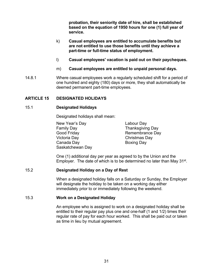**probation, their seniority date of hire, shall be established based on the equation of 1950 hours for one (1) full year of service.**

- k) **Casual employees are entitled to accumulate benefits but are not entitled to use those benefits until they achieve a part-time or full-time status of employment.**
- l) **Casual employees' vacation is paid out on their paycheques.**
- m) **Casual employees are entitled to unpaid personal days.**
- 14.8.1 Where casual employees work a regularly scheduled shift for a period of one hundred and eighty (180) days or more, they shall automatically be deemed permanent part-time employees.

# <span id="page-36-1"></span><span id="page-36-0"></span>**ARTICLE 15 DESIGNATED HOLIDAYS**

#### 15.1 **Designated Holidays**

Designated holidays shall mean:

New Year's Day Labour Day Family Day Thanksgiving Day Good Friday **Remembrance Day** Victoria Day Christmas Day Canada Day **Boxing Day** Saskatchewan Day

One (1) additional day per year as agreed to by the Union and the Employer. The date of which is to be determined no later than May 31<sup>st</sup>.

#### <span id="page-36-2"></span>15.2 **Designated Holiday on a Day of Rest**

When a designated holiday falls on a Saturday or Sunday, the Employer will designate the holiday to be taken on a working day either immediately prior to or immediately following the weekend.

#### <span id="page-36-3"></span>15.3 **Work on a Designated Holiday**

An employee who is assigned to work on a designated holiday shall be entitled to their regular pay plus one and one-half (1 and 1/2) times their regular rate of pay for each hour worked. This shall be paid out or taken as time in lieu by mutual agreement.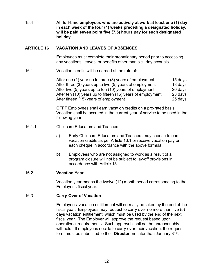15.4 **All full-time employees who are actively at work at least one (1) day in each week of the four (4) weeks preceding a designated holiday, will be paid seven point five (7.5) hours pay for such designated holiday.** 

#### <span id="page-37-0"></span>**ARTICLE 16 VACATION AND LEAVES OF ABSENCES**

Employees must complete their probationary period prior to accessing any vacations, leaves, or benefits other than sick day accruals.

16.1 Vacation credits will be earned at the rate of:

After one (1) year up to three (3) years of employment 15 days After three (3) years up to five (5) years of employment 18 days After five (5) years up to ten (10) years of employment 20 days After ten (10) years up to fifteen (15) years of employment 23 days After fifteen (15) years of employment 25 days

OTFT Employees shall earn vacation credits on a pro-rated basis. Vacation shall be accrued in the current year of service to be used in the following year.

# 16.1.1 Childcare Educators and Teachers

- a) Early Childcare Educators and Teachers may choose to earn vacation credits as per Article 16.1 or receive vacation pay on each cheque in accordance with the above formula.
- b) Employees who are not assigned to work as a result of a program closure will not be subject to lay-off provisions in accordance with Article 13.

# <span id="page-37-1"></span>16.2 **Vacation Year**

Vacation year means the twelve (12) month period corresponding to the Employer's fiscal year.

#### <span id="page-37-2"></span>16.3 **Carry-Over of Vacation**

Employees' vacation entitlement will normally be taken by the end of the fiscal year. Employees may request to carry over no more than five (5) days vacation entitlement, which must be used by the end of the next fiscal year. The Employer will approve the request based upon operational requirements. Such approval shall not be unreasonably withheld. If employees decide to carry-over their vacation, the request form must be submitted to their **Director**, no later than January 31st.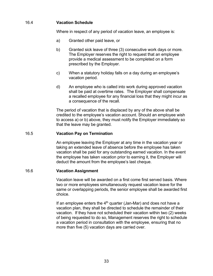# <span id="page-38-0"></span>16.4 **Vacation Schedule**

Where in respect of any period of vacation leave, an employee is:

- a) Granted other paid leave, or
- b) Granted sick leave of three (3) consecutive work days or more. The Employer reserves the right to request that an employee provide a medical assessment to be completed on a form prescribed by the Employer.
- c) When a statutory holiday falls on a day during an employee's vacation period.
- d) An employee who is called into work during approved vacation shall be paid at overtime rates. The Employer shall compensate a recalled employee for any financial loss that they might incur as a consequence of the recall.

The period of vacation that is displaced by any of the above shall be credited to the employee's vacation account. Should an employee wish to access a) or b) above, they must notify the Employer immediately so that the leave may be granted.

# <span id="page-38-1"></span>16.5 **Vacation Pay on Termination**

An employee leaving the Employer at any time in the vacation year or taking an extended leave of absence before the employee has taken vacation shall be paid for any outstanding earned vacation. In the event the employee has taken vacation prior to earning it, the Employer will deduct the amount from the employee's last cheque.

#### <span id="page-38-2"></span>16.6 **Vacation Assignment**

Vacation leave will be awarded on a first come first served basis. Where two or more employees simultaneously request vacation leave for the same or overlapping periods, the senior employee shall be awarded first choice.

If an employee enters the  $4<sup>th</sup>$  quarter (Jan-Mar) and does not have a vacation plan, they shall be directed to schedule the remainder of their vacation. If they have not scheduled their vacation within two (2) weeks of being requested to do so, Management reserves the right to schedule a vacation period in consultation with the employee, ensuring that no more than five (5) vacation days are carried over.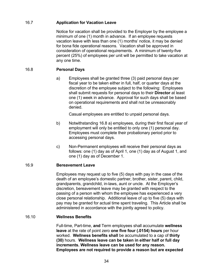# <span id="page-39-0"></span>16.7 **Application for Vacation Leave**

Notice for vacation shall be provided to the Employer by the employee a minimum of one (1) month in advance. If an employee requests vacation leave with less than one (1) months' notice, it may be denied for bona fide operational reasons. Vacation shall be approved in consideration of operational requirements. A minimum of twenty-five percent (25%) of employees per unit will be permitted to take vacation at any one time.

# <span id="page-39-1"></span>16.8 **Personal Days**

a) Employees shall be granted three (3) paid personal days per fiscal year to be taken either in full, half, or quarter days at the discretion of the employee subject to the following: Employees shall submit requests for personal days to their **Director** at least one (1) week in advance. Approval for such days shall be based on operational requirements and shall not be unreasonably denied.

Casual employees are entitled to unpaid personal days.

- b) Notwithstanding 16.8 a) employees, during their first fiscal year of employment will only be entitled to only one (1) personal day. Employees must complete their probationary period prior to accessing personal days.
- c) Non-Permanent employees will receive their personal days as follows: one (1) day as of April 1, one (1) day as of August 1, and one (1) day as of December 1.

#### <span id="page-39-2"></span>16.9 **Bereavement Leave**

Employees may request up to five (5) days with pay in the case of the death of an employee's domestic partner, brother, sister, parent, child, grandparents, grandchild, in-laws, aunt or uncle. At the Employer's discretion, bereavement leave may be granted with respect to the passing of a person with whom the employee has experienced a very close personal relationship. Additional leave of up to five (5) days with pay may be granted for actual time spent traveling. This Article shall be administered in accordance with the jointly agreed to policy.

# <span id="page-39-3"></span>16.10 **Wellness Benefits**

Full-time, Part-time, **and** Term employees shall accumulate **wellness leave** at the rate of point zero **one five four (.0154) hours** per hour worked. **Wellness benefits shall** be accumulated to a cap of **thirty (30)** hours. **Wellness leave can be taken in either half or full day increments. Wellness leave can be used for any reason. Employees are not required to provide a reason but are expected**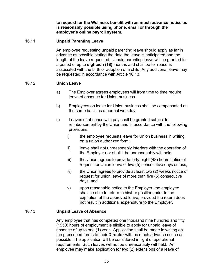**to request for the Wellness benefit with as much advance notice as is reasonably possible using phone, email or through the employer's online payroll system.**

# <span id="page-40-0"></span>16.11 **Unpaid Parenting Leave**

An employee requesting unpaid parenting leave should apply as far in advance as possible stating the date the leave is anticipated and the length of the leave requested. Unpaid parenting leave will be granted for a period of up to **eighteen (18)** months and shall be for reasons associated with the birth or adoption of a child. Any additional leave may be requested in accordance with Article 16.13.

#### <span id="page-40-1"></span>16.12 **Union Leave**

- a) The Employer agrees employees will from time to time require leave of absence for Union business.
- b) Employees on leave for Union business shall be compensated on the same basis as a normal workday.
- c) Leaves of absence with pay shall be granted subject to reimbursement by the Union and in accordance with the following provisions:
	- i) the employee requests leave for Union business in writing, on a union authorized form;
	- ii) leave shall not unreasonably interfere with the operation of the Employer nor shall it be unreasonably withheld;
	- iii) the Union agrees to provide forty-eight (48) hours notice of request for Union leave of five (5) consecutive days or less;
	- iv) the Union agrees to provide at least two (2) weeks notice of request for union leave of more than five (5) consecutive days; and
	- v) upon reasonable notice to the Employer, the employee shall be able to return to his/her position, prior to the expiration of the approved leave, provided the return does not result in additional expenditure to the Employer.

#### <span id="page-40-2"></span>16.13 **Unpaid Leave of Absence**

Any employee that has completed one thousand nine hundred and fifty (1950) hours of employment is eligible to apply for unpaid leave of absence of up to one (1) year. Application shall be made in writing on the prescribed forms to their **Director** with as much advance notice as possible. The application will be considered in light of operational requirements. Such leaves will not be unreasonably withheld. An employee may make application for two (2) extensions of a leave of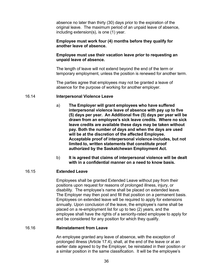absence no later than thirty (30) days prior to the expiration of the original leave. The maximum period of an unpaid leave of absence, including extension(s), is one (1) year.

#### **Employee must work four (4) months before they qualify for another leave of absence.**

#### **Employee must use their vacation leave prior to requesting an unpaid leave of absence.**

The length of leave will not extend beyond the end of the term or temporary employment, unless the position is renewed for another term.

The parties agree that employees may not be granted a leave of absence for the purpose of working for another employer.

#### <span id="page-41-0"></span>16.14 **Interpersonal Violence Leave**

- a) **The Employer will grant employees who have suffered interpersonal violence leave of absence with pay up to five (5) days per year. An Additional five (5) days per year will be drawn from an employee's sick leave credits. Where no sick leave credits are available these days may be taken without pay. Both the number of days and when the days are used will be at the discretion of the affected Employee. Acceptable proof of interpersonal violence includes, but not limited to, written statements that constitute proof authorized by the Saskatchewan Employment Act.**
- b) **It is agreed that claims of interpersonal violence will be dealt with in a confidential manner on a need to know basis.**

# <span id="page-41-1"></span>16.15 **Extended Leave**

Employees shall be granted Extended Leave without pay from their positions upon request for reasons of prolonged illness, injury, or disability. The employee's name shall be placed on extended leave. The Employer may then post and fill that position on a permanent basis. Employees on extended leave will be required to apply for extensions annually. Upon conclusion of the leave, the employee's name shall be placed on a re-employment list for up to two (2) years, and the employee shall have the rights of a seniority-rated employee to apply for and be considered for any position for which they qualify.

#### <span id="page-41-2"></span>16.16 **Reinstatement from Leave**

An employee granted any leave of absence, with the exception of prolonged illness (Article 17.4), shall, at the end of the leave or at an earlier date agreed to by the Employer, be reinstated in their position or a similar position in the same classification. It will be the employee's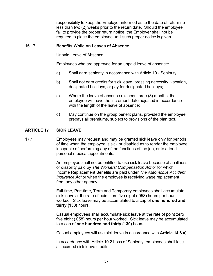responsibility to keep the Employer informed as to the date of return no less than two (2) weeks prior to the return date. Should the employee fail to provide the proper return notice, the Employer shall not be required to place the employee until such proper notice is given.

#### <span id="page-42-0"></span>16.17 **Benefits While on Leaves of Absence**

Unpaid Leave of Absence

Employees who are approved for an unpaid leave of absence:

- a) Shall earn seniority in accordance with Article 10 Seniority;
- b) Shall not earn credits for sick leave, pressing necessity, vacation, designated holidays, or pay for designated holidays;
- c) Where the leave of absence exceeds three (3) months, the employee will have the increment date adjusted in accordance with the length of the leave of absence;
- d) May continue on the group benefit plans, provided the employee prepays all premiums, subject to provisions of the plan text.

# <span id="page-42-1"></span>**ARTICLE 17 SICK LEAVE**

17.1 Employees may request and may be granted sick leave only for periods of time when the employee is sick or disabled as to render the employee incapable of performing any of the functions of the job, or to attend personal medical appointments.

> An employee shall not be entitled to use sick leave because of an illness or disability paid by *The Workers' Compensation Act* or for which Income Replacement Benefits are paid under *The Automobile Accident Insurance Act* or when the employee is receiving wage replacement from any other agency.

Full-time, Part-time, Term and Temporary employees shall accumulate sick leave at the rate of point zero five eight (.058) hours per hour worked. Sick leave may be accumulated to a cap of **one hundred and thirty (130)** hours.

Casual employees shall accumulate sick leave at the rate of point zero five eight (.058) hours per hour worked. Sick leave may be accumulated to a cap of **one hundred and thirty (130)** hours.

Casual employees will use sick leave in accordance with **Article 14.8 a).**

In accordance with Article 10.2 Loss of Seniority, employees shall lose all accrued sick leave credits.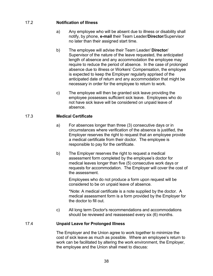# <span id="page-43-0"></span>17.2 **Notification of Illness**

- a) Any employee who will be absent due to illness or disability shall notify, by phone, **e-mail** their Team Leader/**Director**/Supervisor no later than their assigned start time.
- b) The employee will advise their Team Leader/ **Director**/ Supervisor of the nature of the leave requested, the anticipated length of absence and any accommodation the employee may require to reduce the period of absence. In the case of prolonged absence due to illness or Workers' Compensation, the employee is expected to keep the Employer regularly apprised of the anticipated date of return and any accommodation that might be necessary in order for the employee to return to work.
- c) The employee will then be granted sick leave providing the employee possesses sufficient sick leave. Employees who do not have sick leave will be considered on unpaid leave of absence.

# <span id="page-43-1"></span>17.3 **Medical Certificate**

- a) For absences longer than three (3) consecutive days or in circumstances where verification of the absence is justified, the Employer reserves the right to request that an employee provide a medical certificate from their doctor. The employee is responsible to pay for the certificate.
- b) The Employer reserves the right to request a medical assessment form completed by the employee's doctor for medical leaves longer than five (5) consecutive work days or requests for accommodation. The Employer will cover the cost of the assessment.

Employees who do not produce a form upon request will be considered to be on unpaid leave of absence.

\*Note: A medical certificate is a note supplied by the doctor. A medical assessment form is a form provided by the Employer for the doctor to fill out.

c) All long term Doctor's recommendations and accommodations should be reviewed and reassessed every six (6) months.

# <span id="page-43-2"></span>17.4 **Unpaid Leave for Prolonged Illness**

The Employer and the Union agree to work together to minimize the cost of sick leave as much as possible. Where an employee's return to work can be facilitated by altering the work environment, the Employer, the employee and the Union shall meet to discuss: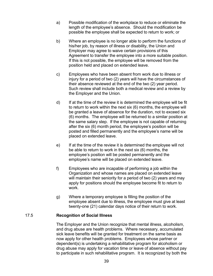- a) Possible modification of the workplace to reduce or eliminate the length of the employee's absence. Should the modification be possible the employee shall be expected to return to work; or
- b) Where an employee is no longer able to perform the functions of his/her job, by reason of illness or disability, the Union and Employer may agree to waive certain provisions of this Agreement to transfer the employee into a more suitable position. If this is not possible, the employee will be removed from the position held and placed on extended leave.
- c) Employees who have been absent from work due to illness or injury for a period of two (2) years will have the circumstances of their absence reviewed at the end of the two (2) year period. Such review shall include both a medical review and a review by the Employer and the Union.
- d) If at the time of the review it is determined the employee will be fit to return to work within the next six (6) months, the employee will be granted a leave of absence for the duration, not to exceed six (6) months. The employee will be returned to a similar position at the same salary step. If the employee is not capable of returning after the six (6) month period, the employee's position will be posted and filled permanently and the employee's name will be placed on extended leave.
- e) If at the time of the review it is determined the employee will not be able to return to work in the next six (6) months, the employee's position will be posted permanently and the employee's name will be placed on extended leave.
- f) Employees who are incapable of performing a job within the Organization and whose names are placed on extended leave will maintain their seniority for a period of two (2) years and may apply for positions should the employee become fit to return to work.
- g) Where a temporary employee is filling the position of the employee absent due to illness, the employee must give at least twenty-one (21) calendar days notice of their return to work.

# <span id="page-44-0"></span>17.5 **Recognition of Social Illness**

The Employer and the Union recognize that mental illness, alcoholism, and drug abuse are health problems. Where necessary, accumulated sick leave benefits will be granted for treatment on the same basis as now apply for other health problems. Employees whose partner or dependent(s) is undertaking a rehabilitative program for alcoholism or drug abuse may apply for vacation time or leave of absence without pay to participate in such rehabilitative program. It is recognized by both the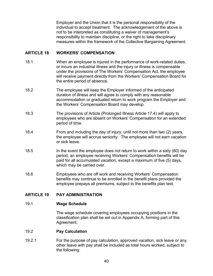Employer and the Union that it is the personal responsibility of the individual to accept treatment. The acknowledgement of the above is not to be interpreted as constituting a waiver of management's responsibility to maintain discipline, or the right to take disciplinary measures within the framework of the Collective Bargaining Agreement.

# <span id="page-45-0"></span>**ARTICLE 18 WORKERS' COMPENSATION**

- 18.1 When an employee is injured in the performance of work-related duties, or incurs an industrial illness and the injury or illness is compensable under the provisions of The Workers' Compensation Act, the employee will receive payment directly from the Workers' Compensation Board for the entire period of absence.
- 18.2 The employee will keep the Employer informed of the anticipated duration of illness and will agree to comply with any reasonable accommodation or graduated return to work program the Employer and the Workers' Compensation Board may develop.
- 18.3 The provisions of Article (Prolonged Illness Article 17.4) will apply to employees who are absent on Workers' Compensation for an extended period of time.
- 18.4 From and including the day of injury, until not more than two (2) years, the employee will accrue seniority. The employee will not earn vacation or sick leave.
- 18.5 In the event the employee does not return to work within a sixty (60) day period, an employee receiving Workers' Compensation benefits will be paid for all accumulated vacation, except a maximum of five (5) days, which may be carried over.
- 18.6 Employees who are off work and receiving Workers' Compensation benefits may continue to be enrolled in the benefit plans provided the employee prepays all premiums, subject to the benefits plan text.

# <span id="page-45-1"></span>**ARTICLE 19 PAY ADMINISTRATION**

#### <span id="page-45-2"></span>19.1 **Wage Schedule**

The wage schedule covering employees occupying positions in the classification plan shall be set out in Appendix A, forming part of this Agreement.

#### <span id="page-45-3"></span>19.2 **Pay Calculation**

19.2.1 For the purpose of pay calculation, approved vacation, sick leave or any other leave with pay shall be included as total hours worked, subject to the following: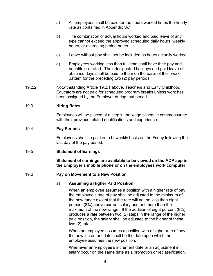- a) All employees shall be paid for the hours worked times the hourly rate as contained in Appendix "A."
- b) The combination of actual hours worked and paid leave of any type cannot exceed the approved scheduled daily hours, weekly hours, or averaging period hours.
- c) Leave without pay shall not be included as hours actually worked.
- d) Employees working less than full-time shall have their pay and benefits pro-rated. Their designated holidays and paid leave of absence days shall be paid to them on the basis of their work pattern for the preceding two (2) pay periods.
- 19.2.2 Notwithstanding Article 19.2.1 above, Teachers and Early Childhood Educators are not paid for scheduled program breaks unless work has been assigned by the Employer during that period.

# <span id="page-46-0"></span>19.3 **Hiring Rates**

Employees will be placed at a step in the wage schedule commensurate with their previous related qualifications and experience.

# <span id="page-46-1"></span>19.4 **Pay Periods**

Employees shall be paid on a bi-weekly basis on the Friday following the last day of the pay period.

#### <span id="page-46-2"></span>19.5 **Statement of Earnings**

**Statement of earnings are available to be viewed on the ADP app in the Employer's mobile phone or on the employees work computer**.

#### <span id="page-46-3"></span>19.6 **Pay on Movement to a New Position**

#### a) **Assuming a Higher Paid Position**

When an employee assumes a position with a higher rate of pay, the employee's rate of pay shall be adjusted to the minimum of the new range except that the rate will not be less than eight percent (8%) above current salary and not more than the maximum of the new range. If the addition of eight percent (8%) produces a rate between two (2) steps in the range of the higher paid position, the salary shall be adjusted to the higher of these two (2) rates.

When an employee assumes a position with a higher rate of pay the new increment date shall be the date upon which the employee assumes the new position.

Whenever an employee's increment date or an adjustment in salary occur on the same date as a promotion or reclassification,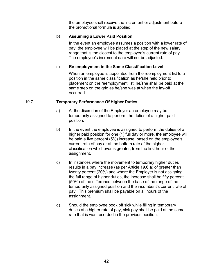the employee shall receive the increment or adjustment before the promotional formula is applied.

# b) **Assuming a Lower Paid Position**

In the event an employee assumes a position with a lower rate of pay, the employee will be placed at the step of the new salary range that is the closest to the employee's current rate of pay. The employee's increment date will not be adjusted.

# c) **Re-employment in the Same Classification Level**

When an employee is appointed from the reemployment list to a position in the same classification as he/she held prior to placement on the reemployment list, he/she shall be paid at the same step on the grid as he/she was at when the lay-off occurred.

# <span id="page-47-0"></span>19.7 **Temporary Performance Of Higher Duties**

- a) At the discretion of the Employer an employee may be temporarily assigned to perform the duties of a higher paid position.
- b) In the event the employee is assigned to perform the duties of a higher paid position for one (1) full day or more, the employee will be paid a five percent (5%) increase, based on the employee's current rate of pay or at the bottom rate of the higher classification whichever is greater, from the first hour of the assignment.
- c) In instances where the movement to temporary higher duties results in a pay increase (as per Article **19.6 a**) of greater than twenty percent (20%) and where the Employer is not assigning the full range of higher duties, the increase shall be fifty percent (50%) of the difference between the base of the range of the temporarily assigned position and the incumbent's current rate of pay. This premium shall be payable on all hours of the assignment.
- d) Should the employee book off sick while filling in temporary duties at a higher rate of pay, sick pay shall be paid at the same rate that is was recorded in the previous position.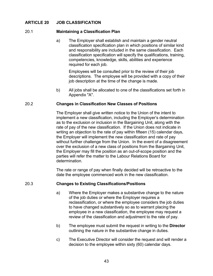#### <span id="page-48-1"></span><span id="page-48-0"></span>**ARTICLE 20 JOB CLASSIFICATION**

#### 20.1 **Maintaining a Classification Plan**

a) The Employer shall establish and maintain a gender neutral classification specification plan in which positions of similar kind and responsibility are included in the same classification. Each classification specification will specify the qualifications, training, competencies, knowledge, skills, abilities and experience required for each job.

Employees will be consulted prior to the review of their job descriptions. The employee will be provided with a copy of their job description at the time of the change is made.

b) All jobs shall be allocated to one of the classifications set forth in Appendix "A".

#### <span id="page-48-2"></span>20.2 **Changes in Classification New Classes of Positions**

The Employer shall give written notice to the Union of the intent to implement a new classification, including the Employer's determination as to the exclusion or inclusion in the Bargaining Unit, along with the rate of pay of the new classification. If the Union does not indicate in writing an objection to the rate of pay within fifteen (15) calendar days, the Employer will implement the new classification and rate of pay without further challenge from the Union. In the event of a disagreement over the exclusion of a new class of positions from the Bargaining Unit, the Employer may fill the position as an out-of-scope position and the parties will refer the matter to the Labour Relations Board for determination.

The rate or range of pay when finally decided will be retroactive to the date the employee commenced work in the new classification.

#### <span id="page-48-3"></span>20.3 **Changes to Existing Classifications/Positions**

- a) Where the Employer makes a substantive change to the nature of the job duties or where the Employer requires a reclassification, or where the employee considers the job duties to have changed substantively so as to warrant placing the employee in a new classification, the employee may request a review of the classification and adjustment to the rate of pay.
- b) The employee must submit the request in writing to the **Director** outlining the nature in the substantive change in duties.
- c) The Executive Director will consider the request and will render a decision to the employee within sixty (60) calendar days.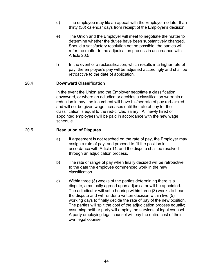- d) The employee may file an appeal with the Employer no later than thirty (30) calendar days from receipt of the Employer's decision.
- e) The Union and the Employer will meet to negotiate the matter to determine whether the duties have been substantively changed. Should a satisfactory resolution not be possible, the parties will refer the matter to the adjudication process in accordance with Article 20.5.
- f) In the event of a reclassification, which results in a higher rate of pay, the employee's pay will be adjusted accordingly and shall be retroactive to the date of application.

#### <span id="page-49-0"></span>20.4 **Downward Classification**

In the event the Union and the Employer negotiate a classification downward, or where an adjudicator decides a classification warrants a reduction in pay, the incumbent will have his/her rate of pay red-circled and will not be given wage increases until the rate of pay for the classification is equal to the red-circled salary. All newly hired or appointed employees will be paid in accordance with the new wage schedule.

#### <span id="page-49-1"></span>20.5 **Resolution of Disputes**

- a) If agreement is not reached on the rate of pay, the Employer may assign a rate of pay, and proceed to fill the position in accordance with Article 11, and the dispute shall be resolved through an adjudication process.
- b) The rate or range of pay when finally decided will be retroactive to the date the employee commenced work in the new classification.
- c) Within three (3) weeks of the parties determining there is a dispute, a mutually agreed upon adjudicator will be appointed. The adjudicator will set a hearing within three (3) weeks to hear the dispute and will render a written decision within five (5) working days to finally decide the rate of pay of the new position. The parties will split the cost of the adjudication process equally; assuming neither party will employ the services of legal counsel. A party employing legal counsel will pay the entire cost of their own legal counsel.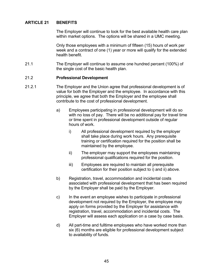# <span id="page-50-0"></span>**ARTICLE 21 BENEFITS**

The Employer will continue to look for the best available health care plan within market options. The options will be shared in a UMC meeting.

Only those employees with a minimum of fifteen (15) hours of work per week and a contract of one (1) year or more will qualify for the extended health benefit.

21.1 The Employer will continue to assume one hundred percent (100%) of the single cost of the basic health plan.

#### <span id="page-50-1"></span>21.2 **Professional Development**

- 21.2.1 The Employer and the Union agree that professional development is of value for both the Employer and the employee. In accordance with this principle, we agree that both the Employer and the employee shall contribute to the cost of professional development.
	- a) Employees participating in professional development will do so with no loss of pay. There will be no additional pay for travel time or time spent in professional development outside of regular hours of work.
		- i) All professional development required by the employer shall take place during work hours. Any prerequisite training or certification required for the position shall be maintained by the employee.
		- ii) The employer may support the employees maintaining professional qualifications required for the position.
		- iii) Employees are required to maintain all prerequisite certification for their position subject to i) and ii) above.
	- b) Registration, travel, accommodation and incidental costs associated with professional development that has been required by the Employer shall be paid by the Employer.
	- c) In the event an employee wishes to participate in professional development not required by the Employer, the employee may apply on forms provided by the Employer for assistance with registration, travel, accommodation and incidental costs. The Employer will assess each application on a case by case basis.
	- d) All part-time and fulltime employees who have worked more than six (6) months are eligible for professional development subject to availability of funds.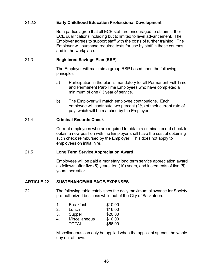# 21.2.2 **Early Childhood Education Professional Development**

Both parties agree that all ECE staff are encouraged to obtain further ECE qualifications including but to limited to level advancement. The Employer agrees to support staff with the costs of further training. The Employer will purchase required texts for use by staff in these courses and in the workplace.

#### <span id="page-51-0"></span>21.3 **Registered Savings Plan (RSP)**

The Employer will maintain a group RSP based upon the following principles:

- a) Participation in the plan is mandatory for all Permanent Full-Time and Permanent Part-Time Employees who have completed a minimum of one (1) year of service.
- b) The Employer will match employee contributions. Each employee will contribute two percent (2%) of their current rate of pay, which will be matched by the Employer.

#### <span id="page-51-1"></span>21.4 **Criminal Records Check**

Current employees who are required to obtain a criminal record check to obtain a new position with the Employer shall have the cost of obtaining such check reimbursed by the Employer. This does not apply to employees on initial hire.

#### <span id="page-51-2"></span>21.5 **Long Term Service Appreciation Award**

Employees will be paid a monetary long term service appreciation award as follows: after five (5) years, ten (10) years, and increments of five (5) years thereafter.

#### <span id="page-51-3"></span>**ARTICLE 22 SUSTENANCE/MILEAGE/EXPENSES**

#### 22.1 The following table establishes the daily maximum allowance for Society pre-authorized business while out of the City of Saskatoon:

|   | <b>Breakfast</b> | \$10.00 |  |  |
|---|------------------|---------|--|--|
| റ | Lunch            | \$16.00 |  |  |

|    |               | .       |
|----|---------------|---------|
| 3. | Supper        | \$20.00 |
|    | Miccollonoous | 0.400   |

| <b>Miscellaneous</b> | \$10.00 |
|----------------------|---------|
| <b>TOTAL</b>         | \$56.00 |
|                      |         |

Miscellaneous can only be applied when the applicant spends the whole day out of town.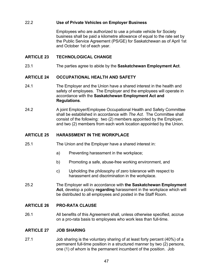# <span id="page-52-0"></span>22.2 **Use of Private Vehicles on Employer Business**

Employees who are authorized to use a private vehicle for Society business shall be paid a kilometre allowance of equal to the rate set by the Public Service Agreement (PS/GE) for Saskatchewan as of April 1st and October 1st of each year.

#### <span id="page-52-1"></span>**ARTICLE 23 TECHNOLOGICAL CHANGE**

<span id="page-52-2"></span>23.1 The parties agree to abide by the **Saskatchewan Employment Act**.

#### **ARTICLE 24 OCCUPATIONAL HEALTH AND SAFETY**

- 24.1 The Employer and the Union have a shared interest in the health and safety of employees. The Employer and the employees will operate in accordance with the **Saskatchewan Employment Act and Regulations**.
- 24.2 A joint Employer/Employee Occupational Health and Safety Committee shall be established in accordance with *The Act*. The Committee shall consist of the following: two (2) members appointed by the Employer, and two (2) members from each work location appointed by the Union.

#### <span id="page-52-3"></span>**ARTICLE 25 HARASSMENT IN THE WORKPLACE**

- 25.1 The Union and the Employer have a shared interest in:
	- a) Preventing harassment in the workplace;
	- b) Promoting a safe, abuse-free working environment, and
	- c) Upholding the philosophy of zero tolerance with respect to harassment and discrimination in the workplace.
- 25.2 The Employer will in accordance with **the Saskatchewan Employment Act**, develop a policy **regarding** harassment in the workplace which will be distributed to all employees and posted in the Staff Room.

#### <span id="page-52-4"></span>**ARTICLE 26 PRO-RATA CLAUSE**

26.1 All benefits of this Agreement shall, unless otherwise specified, accrue on a pro-rata basis to employees who work less than full-time.

#### <span id="page-52-5"></span>**ARTICLE 27 JOB SHARING**

27.1 Job sharing is the voluntary sharing of at least forty percent (40%) of a permanent full-time position in a structured manner by two (2) persons, one (1) of whom is the permanent incumbent of the position. Job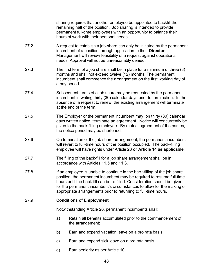sharing requires that another employee be appointed to backfill the remaining half of the position. Job sharing is intended to provide permanent full-time employees with an opportunity to balance their hours of work with their personal needs.

- 27.2 A request to establish a job-share can only be initiated by the permanent incumbent of a position through application to their **Director**. Management will review feasibility of a request against operational needs. Approval will not be unreasonably denied.
- 27.3 The first term of a job share shall be in place for a minimum of three (3) months and shall not exceed twelve (12) months. The permanent incumbent shall commence the arrangement on the first working day of a pay period.
- 27.4 Subsequent terms of a job share may be requested by the permanent incumbent in writing thirty (30) calendar days prior to termination. In the absence of a request to renew, the existing arrangement will terminate at the end of the term.
- 27.5 The Employer or the permanent incumbent may, on thirty (30) calendar days written notice, terminate an agreement. Notice will concurrently be given to the back-filling employee. By mutual agreement of the parties, the notice period may be shortened.
- 27.6 On termination of the job share arrangement, the permanent incumbent will revert to full-time hours of the position occupied. The back-filling employee will have rights under Article 28 **or Article 14 as applicable**.
- 27.7 The filling of the back-fill for a job share arrangement shall be in accordance with Articles 11.5 and 11.3.
- 27.8 If an employee is unable to continue in the back-filling of the job share position, the permanent incumbent may be required to resume full-time hours until the back-fill can be re-filled. Consideration should be given for the permanent incumbent's circumstances to allow for the making of appropriate arrangements prior to returning to full-time hours.

#### <span id="page-53-0"></span>27.9 **Conditions of Employment**

Notwithstanding Article 26, permanent incumbents shall:

- a) Retain all benefits accumulated prior to the commencement of the arrangement;
- b) Earn and expend vacation leave on a pro rata basis;
- c) Earn and expend sick leave on a pro rata basis;
- d) Earn seniority as per Article 10;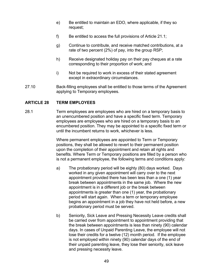- e) Be entitled to maintain an EDO, where applicable, if they so request;
- f) Be entitled to access the full provisions of Article 21.1;
- g) Continue to contribute, and receive matched contributions, at a rate of two percent (2%) of pay, into the group RSP;
- h) Receive designated holiday pay on their pay cheques at a rate corresponding to their proportion of work; and
- i) Not be required to work in excess of their stated agreement except in extraordinary circumstances.
- 27.10 Back-filling employees shall be entitled to those terms of the Agreement applying to Temporary employees.

# <span id="page-54-0"></span>**ARTICLE 28 TERM EMPLOYEES**

28.1 Term employees are employees who are hired on a temporary basis to an unencumbered position and have a specific fixed term. Temporary employees are employees who are hired on a temporary basis to an encumbered position. They may be appointed to a specific fixed term or until the incumbent returns to work, whichever is less.

> Where permanent employees are appointed to Term or Temporary positions, they shall be allowed to revert to their permanent position upon the completion of their appointment and retain all rights and benefits. Where Term or Temporary positions are filled by a person who is not a permanent employee, the following terms and conditions apply:

- a) The probationary period will be eighty (80) days worked. Days worked in any given appointment will carry over to the next appointment provided there has been less than a one (1) year break between appointments in the same job. Where the new appointment is in a different job or the break between appointments is greater than one (1) year, the probationary period will start again. When a term or temporary employee begins an appointment in a job they have not held before, a new probationary period must be served.
- b) Seniority, Sick Leave and Pressing Necessity Leave credits shall be carried over from appointment to appointment providing that the break between appointments is less than ninety (90) calendar days. In cases of Unpaid Parenting Leave, the employee will not lose their credits for a twelve (12) month period. If the employee is not employed within ninety (90) calendar days of the end of their unpaid parenting leave, they lose their seniority, sick leave and pressing necessity leave.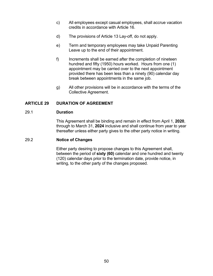- c) All employees except casual employees, shall accrue vacation credits in accordance with Article 16.
- d) The provisions of Article 13 Lay-off, do not apply.
- e) Term and temporary employees may take Unpaid Parenting Leave up to the end of their appointment.
- f) Increments shall be earned after the completion of nineteen hundred and fifty (1950) hours worked. Hours from one (1) appointment may be carried over to the next appointment provided there has been less than a ninety (90) calendar day break between appointments in the same job.
- g) All other provisions will be in accordance with the terms of the Collective Agreement.

# <span id="page-55-0"></span>**ARTICLE 29 DURATION OF AGREEMENT**

# <span id="page-55-1"></span>29.1 **Duration**

This Agreement shall be binding and remain in effect from April 1, **2020**, through to March 31, **2024** inclusive and shall continue from year to year thereafter unless either party gives to the other party notice in writing.

#### <span id="page-55-2"></span>29.2 **Notice of Changes**

Either party desiring to propose changes to this Agreement shall, between the period of **sixty (60)** calendar and one hundred and twenty (120) calendar days prior to the termination date, provide notice, in writing, to the other party of the changes proposed.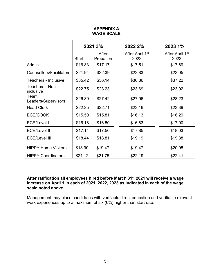# **APPENDIX A WAGE SCALE**

<span id="page-56-0"></span>

|                                 | 2021 3%      |                    | 2022 2%                             |  | 2023 1%                             |
|---------------------------------|--------------|--------------------|-------------------------------------|--|-------------------------------------|
|                                 | <b>Start</b> | After<br>Probation | After April 1 <sup>st</sup><br>2022 |  | After April 1 <sup>st</sup><br>2023 |
| Admin                           | \$16.83      | \$17.17            | \$17.51                             |  | \$17.69                             |
| <b>Counsellors/Facilitators</b> | \$21.94      | \$22.39            | \$22.83                             |  | \$23.05                             |
| Teachers - Inclusive            | \$35.42      | \$36.14            | \$36.86                             |  | \$37.22                             |
| Teachers - Non-<br>inclusive    | \$22.75      | \$23.23            | \$23.69                             |  | \$23.92                             |
| Team<br>Leaders/Supervisors     | \$26.89      | \$27.42            | \$27.96                             |  | \$28.23                             |
| <b>Head Clerk</b>               | \$22.25      | \$22.71            | \$23.16                             |  | \$23.39                             |
| ECE/COOK                        | \$15.50      | \$15.81            | \$16.13                             |  | \$16.29                             |
| <b>ECE/Level I</b>              | \$16.18      | \$16.50            | \$16.83                             |  | \$17.00                             |
| <b>ECE/Level II</b>             | \$17.14      | \$17.50            | \$17.85                             |  | \$18.03                             |
| <b>ECE/Level III</b>            | \$18.44      | \$18.81            | \$19.19                             |  | \$19.38                             |
| <b>HIPPY Home Visitors</b>      | \$18.90      | \$19.47            | \$19.47                             |  | \$20.05                             |
| <b>HIPPY Coordinators</b>       | \$21.12      | \$21.75            | \$22.19                             |  | \$22.41                             |

#### **After ratification all employees hired before March 31st 2021 will receive a wage increase on April 1 in each of 2021, 2022, 2023 as indicated in each of the wage scale noted above.**

Management may place candidates with verifiable direct education and verifiable relevant work experiences up to a maximum of six (6%) higher than start rate.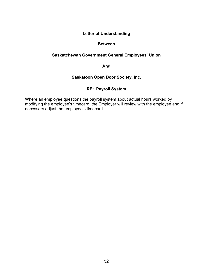# **Letter of Understanding**

#### **Between**

# <span id="page-57-0"></span>**Saskatchewan Government General Employees' Union**

**And**

# **Saskatoon Open Door Society, Inc.**

# **RE: Payroll System**

<span id="page-57-1"></span>Where an employee questions the payroll system about actual hours worked by modifying the employee's timecard, the Employer will review with the employee and if necessary adjust the employee's timecard.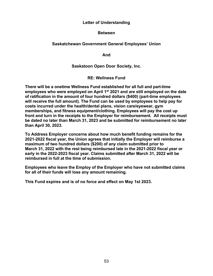#### **Letter of Understanding**

#### **Between**

# <span id="page-58-0"></span>**Saskatchewan Government General Employees' Union**

**And**

#### **Saskatoon Open Door Society, Inc.**

**RE: Wellness Fund**

<span id="page-58-1"></span>**There will be a onetime Wellness Fund established for all full and part-time employees who were employed on April 1st 2021 and are still employed on the date of ratification in the amount of four hundred dollars (\$400) (part-time employees will receive the full amount). The Fund can be used by employees to help pay for costs incurred under the health/dental plans, vision care/eyewear, gym memberships, and fitness equipment/clothing. Employees will pay the cost up front and turn in the receipts to the Employer for reimbursement. All receipts must be dated no later than March 31, 2023 and be submitted for reimbursement no later than April 30, 2023.**

**To Address Employer concerns about how much benefit funding remains for the 2021-2022 fiscal year, the Union agrees that initially the Employer will reimburse a maximum of two hundred dollars (\$200) of any claim submitted prior to March 31, 2022 with the rest being reimbursed late in the 2021-2022 fiscal year or early in the 2022-2023 fiscal year. Claims submitted after March 31, 2022 will be reimbursed in full at the time of submission.**

**Employees who leave the Employ of the Employer who have not submitted claims for all of their funds will lose any amount remaining.**

**This Fund expires and is of no force and effect on May 1st 2023.**